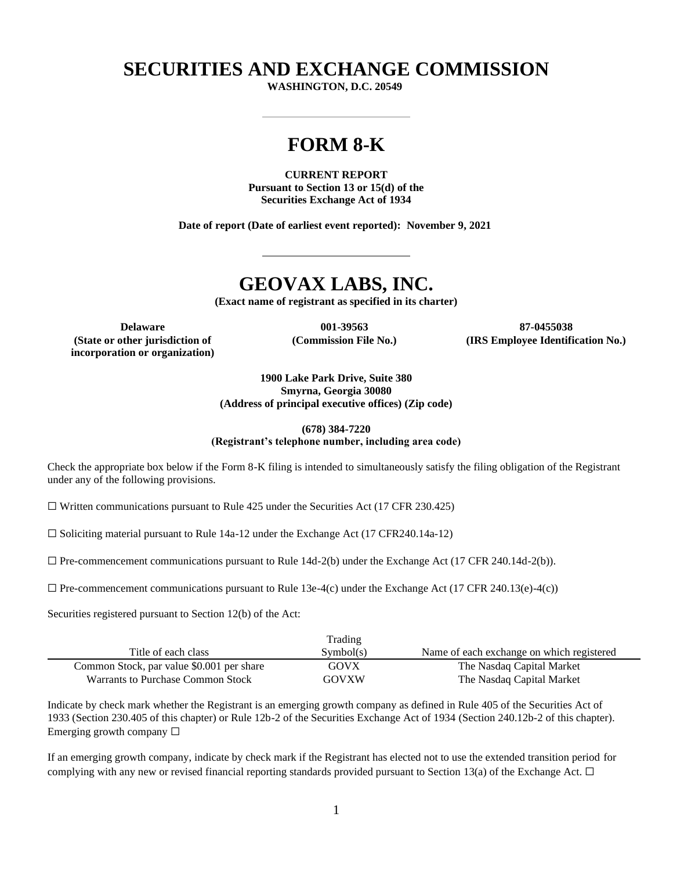## **SECURITIES AND EXCHANGE COMMISSION**

**WASHINGTON, D.C. 20549**

# **FORM 8-K**

**CURRENT REPORT Pursuant to Section 13 or 15(d) of the Securities Exchange Act of 1934**

**Date of report (Date of earliest event reported): November 9, 2021**

## **GEOVAX LABS, INC.**

**(Exact name of registrant as specified in its charter)**

**(State or other jurisdiction of incorporation or organization)** **(Commission File No.)**

**Delaware 001-39563 87-0455038 (IRS Employee Identification No.)**

> **1900 Lake Park Drive, Suite 380 Smyrna, Georgia 30080 (Address of principal executive offices) (Zip code)**

#### **(678) 384-7220 (Registrant's telephone number, including area code)**

Check the appropriate box below if the Form 8-K filing is intended to simultaneously satisfy the filing obligation of the Registrant under any of the following provisions.

 $\Box$  Written communications pursuant to Rule 425 under the Securities Act (17 CFR 230.425)

 $\Box$  Soliciting material pursuant to Rule 14a-12 under the Exchange Act (17 CFR240.14a-12)

 $\Box$  Pre-commencement communications pursuant to Rule 14d-2(b) under the Exchange Act (17 CFR 240.14d-2(b)).

 $\Box$  Pre-commencement communications pursuant to Rule 13e-4(c) under the Exchange Act (17 CFR 240.13(e)-4(c))

Securities registered pursuant to Section 12(b) of the Act:

|                                           | Trading   |                                           |
|-------------------------------------------|-----------|-------------------------------------------|
| Title of each class                       | Sumbol(s) | Name of each exchange on which registered |
| Common Stock, par value \$0.001 per share | GOVX      | The Nasdaq Capital Market                 |
| Warrants to Purchase Common Stock         | GOVXW     | The Nasdaq Capital Market                 |

Indicate by check mark whether the Registrant is an emerging growth company as defined in Rule 405 of the Securities Act of 1933 (Section 230.405 of this chapter) or Rule 12b-2 of the Securities Exchange Act of 1934 (Section 240.12b-2 of this chapter). Emerging growth company  $\Box$ 

If an emerging growth company, indicate by check mark if the Registrant has elected not to use the extended transition period for complying with any new or revised financial reporting standards provided pursuant to Section 13(a) of the Exchange Act.  $\Box$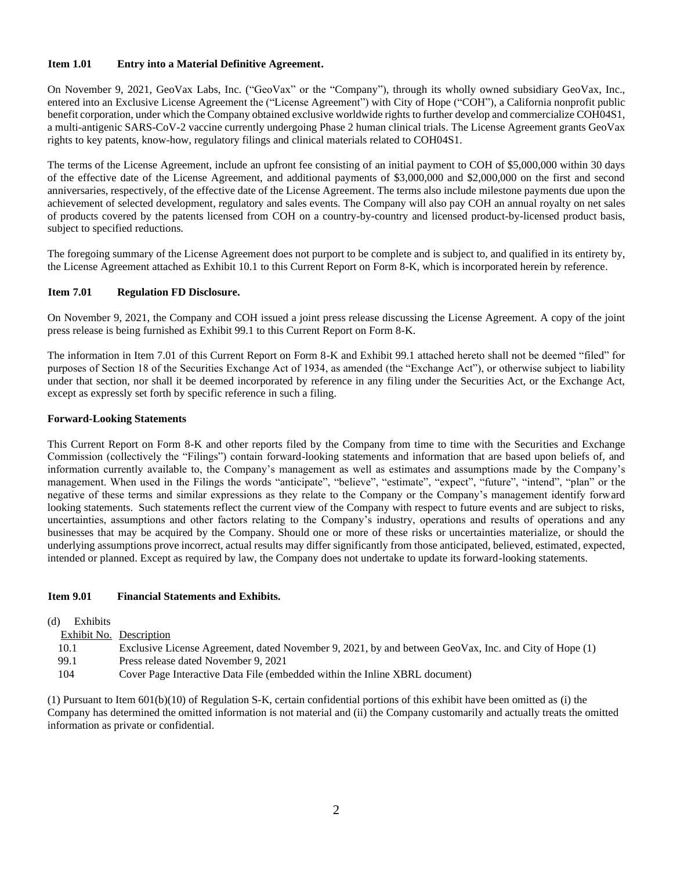#### **Item 1.01 Entry into a Material Definitive Agreement.**

On November 9, 2021, GeoVax Labs, Inc. ("GeoVax" or the "Company"), through its wholly owned subsidiary GeoVax, Inc., entered into an Exclusive License Agreement the ("License Agreement") with City of Hope ("COH"), a California nonprofit public benefit corporation, under which the Company obtained exclusive worldwide rights to further develop and commercialize COH04S1, a multi-antigenic SARS-CoV-2 vaccine currently undergoing Phase 2 human clinical trials. The License Agreement grants GeoVax rights to key patents, know-how, regulatory filings and clinical materials related to COH04S1.

The terms of the License Agreement, include an upfront fee consisting of an initial payment to COH of \$5,000,000 within 30 days of the effective date of the License Agreement, and additional payments of \$3,000,000 and \$2,000,000 on the first and second anniversaries, respectively, of the effective date of the License Agreement. The terms also include milestone payments due upon the achievement of selected development, regulatory and sales events. The Company will also pay COH an annual royalty on net sales of products covered by the patents licensed from COH on a country-by-country and licensed product-by-licensed product basis, subject to specified reductions.

The foregoing summary of the License Agreement does not purport to be complete and is subject to, and qualified in its entirety by, the License Agreement attached as Exhibit 10.1 to this Current Report on Form 8-K, which is incorporated herein by reference.

#### **Item 7.01 Regulation FD Disclosure.**

On November 9, 2021, the Company and COH issued a joint press release discussing the License Agreement. A copy of the joint press release is being furnished as Exhibit 99.1 to this Current Report on Form 8-K.

The information in Item 7.01 of this Current Report on Form 8-K and Exhibit 99.1 attached hereto shall not be deemed "filed" for purposes of Section 18 of the Securities Exchange Act of 1934, as amended (the "Exchange Act"), or otherwise subject to liability under that section, nor shall it be deemed incorporated by reference in any filing under the Securities Act, or the Exchange Act, except as expressly set forth by specific reference in such a filing.

#### **Forward-Looking Statements**

This Current Report on Form 8-K and other reports filed by the Company from time to time with the Securities and Exchange Commission (collectively the "Filings") contain forward-looking statements and information that are based upon beliefs of, and information currently available to, the Company's management as well as estimates and assumptions made by the Company's management. When used in the Filings the words "anticipate", "believe", "estimate", "expect", "future", "intend", "plan" or the negative of these terms and similar expressions as they relate to the Company or the Company's management identify forward looking statements. Such statements reflect the current view of the Company with respect to future events and are subject to risks, uncertainties, assumptions and other factors relating to the Company's industry, operations and results of operations and any businesses that may be acquired by the Company. Should one or more of these risks or uncertainties materialize, or should the underlying assumptions prove incorrect, actual results may differ significantly from those anticipated, believed, estimated, expected, intended or planned. Except as required by law, the Company does not undertake to update its forward-looking statements.

#### **Item 9.01 Financial Statements and Exhibits.**

| (d) | Exhibits |                                                                                                       |
|-----|----------|-------------------------------------------------------------------------------------------------------|
|     |          | Exhibit No. Description                                                                               |
|     | 10.1     | Exclusive License Agreement, dated November 9, 2021, by and between GeoVax, Inc. and City of Hope (1) |
|     | 99.1     | Press release dated November 9, 2021                                                                  |
|     | 104      | Cover Page Interactive Data File (embedded within the Inline XBRL document)                           |
|     |          |                                                                                                       |

(1) Pursuant to Item 601(b)(10) of Regulation S-K, certain confidential portions of this exhibit have been omitted as (i) the Company has determined the omitted information is not material and (ii) the Company customarily and actually treats the omitted information as private or confidential.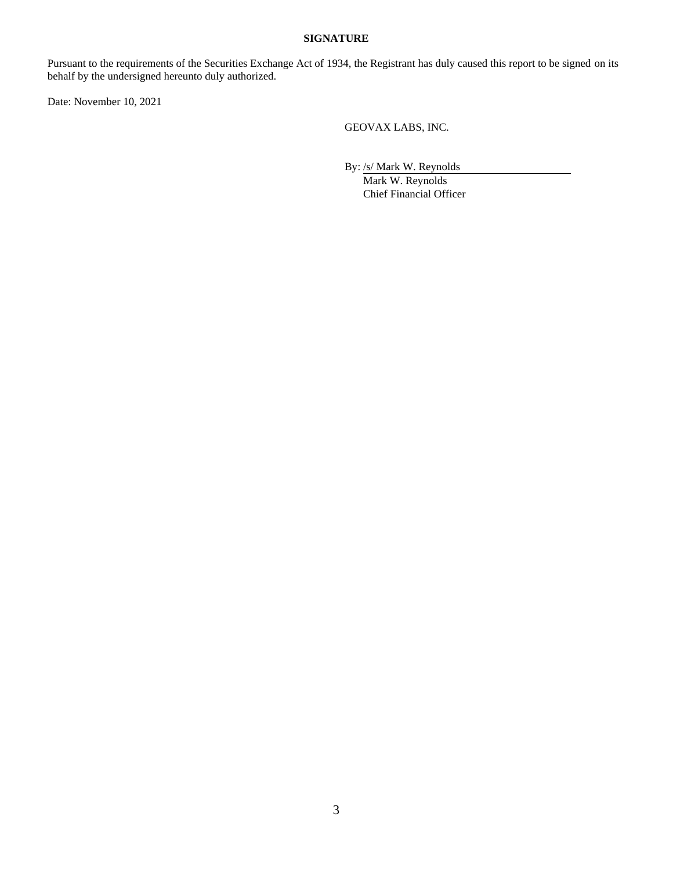#### **SIGNATURE**

Pursuant to the requirements of the Securities Exchange Act of 1934, the Registrant has duly caused this report to be signed on its behalf by the undersigned hereunto duly authorized.

Date: November 10, 2021

GEOVAX LABS, INC.

By: /s/ Mark W. Reynolds

Mark W. Reynolds Chief Financial Officer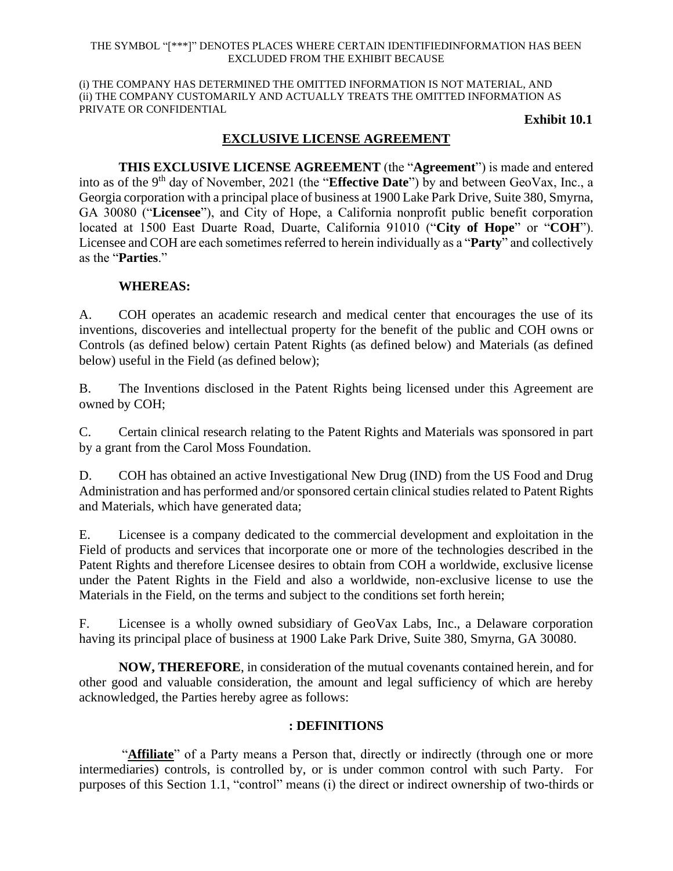#### THE SYMBOL "[\*\*\*]" DENOTES PLACES WHERE CERTAIN IDENTIFIEDINFORMATION HAS BEEN EXCLUDED FROM THE EXHIBIT BECAUSE

(i) THE COMPANY HAS DETERMINED THE OMITTED INFORMATION IS NOT MATERIAL, AND (ii) THE COMPANY CUSTOMARILY AND ACTUALLY TREATS THE OMITTED INFORMATION AS PRIVATE OR CONFIDENTIAL

**Exhibit 10.1**

## **EXCLUSIVE LICENSE AGREEMENT**

**THIS EXCLUSIVE LICENSE AGREEMENT** (the "**Agreement**") is made and entered into as of the 9th day of November, 2021 (the "**Effective Date**") by and between GeoVax, Inc., a Georgia corporation with a principal place of business at 1900 Lake Park Drive, Suite 380, Smyrna, GA 30080 ("**Licensee**"), and City of Hope, a California nonprofit public benefit corporation located at 1500 East Duarte Road, Duarte, California 91010 ("**City of Hope**" or "**COH**"). Licensee and COH are each sometimes referred to herein individually as a "**Party**" and collectively as the "**Parties**."

## **WHEREAS:**

A. COH operates an academic research and medical center that encourages the use of its inventions, discoveries and intellectual property for the benefit of the public and COH owns or Controls (as defined below) certain Patent Rights (as defined below) and Materials (as defined below) useful in the Field (as defined below);

B. The Inventions disclosed in the Patent Rights being licensed under this Agreement are owned by COH;

C. Certain clinical research relating to the Patent Rights and Materials was sponsored in part by a grant from the Carol Moss Foundation.

D. COH has obtained an active Investigational New Drug (IND) from the US Food and Drug Administration and has performed and/or sponsored certain clinical studies related to Patent Rights and Materials, which have generated data;

E. Licensee is a company dedicated to the commercial development and exploitation in the Field of products and services that incorporate one or more of the technologies described in the Patent Rights and therefore Licensee desires to obtain from COH a worldwide, exclusive license under the Patent Rights in the Field and also a worldwide, non-exclusive license to use the Materials in the Field, on the terms and subject to the conditions set forth herein;

F. Licensee is a wholly owned subsidiary of GeoVax Labs, Inc., a Delaware corporation having its principal place of business at 1900 Lake Park Drive, Suite 380, Smyrna, GA 30080.

**NOW, THEREFORE**, in consideration of the mutual covenants contained herein, and for other good and valuable consideration, the amount and legal sufficiency of which are hereby acknowledged, the Parties hereby agree as follows:

## **: DEFINITIONS**

"**Affiliate**" of a Party means a Person that, directly or indirectly (through one or more intermediaries) controls, is controlled by, or is under common control with such Party. For purposes of this Section 1.1, "control" means (i) the direct or indirect ownership of two-thirds or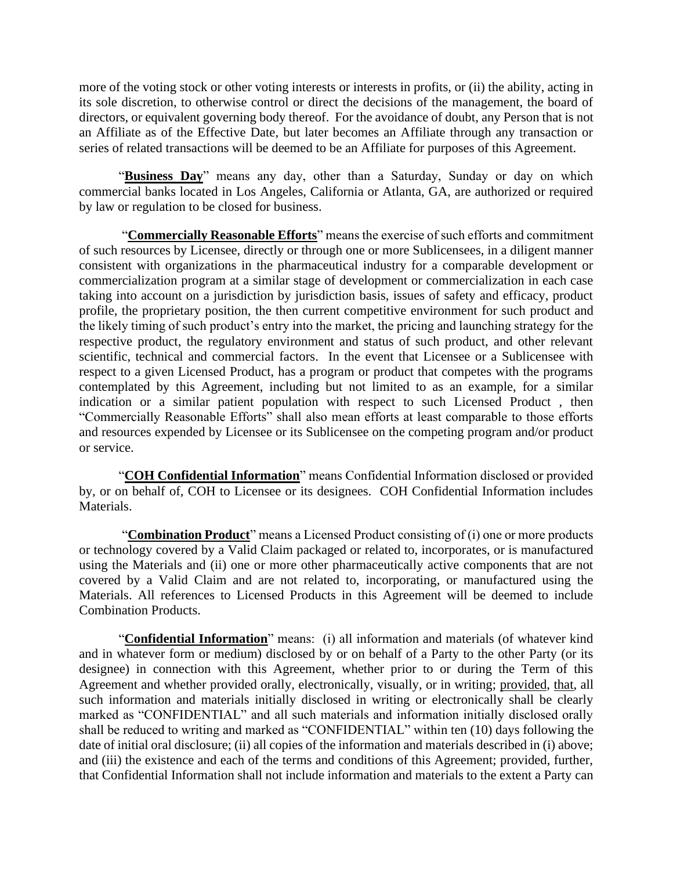more of the voting stock or other voting interests or interests in profits, or (ii) the ability, acting in its sole discretion, to otherwise control or direct the decisions of the management, the board of directors, or equivalent governing body thereof. For the avoidance of doubt, any Person that is not an Affiliate as of the Effective Date, but later becomes an Affiliate through any transaction or series of related transactions will be deemed to be an Affiliate for purposes of this Agreement.

"**Business Day**" means any day, other than a Saturday, Sunday or day on which commercial banks located in Los Angeles, California or Atlanta, GA, are authorized or required by law or regulation to be closed for business.

"**Commercially Reasonable Efforts**" means the exercise of such efforts and commitment of such resources by Licensee, directly or through one or more Sublicensees, in a diligent manner consistent with organizations in the pharmaceutical industry for a comparable development or commercialization program at a similar stage of development or commercialization in each case taking into account on a jurisdiction by jurisdiction basis, issues of safety and efficacy, product profile, the proprietary position, the then current competitive environment for such product and the likely timing of such product's entry into the market, the pricing and launching strategy for the respective product, the regulatory environment and status of such product, and other relevant scientific, technical and commercial factors. In the event that Licensee or a Sublicensee with respect to a given Licensed Product, has a program or product that competes with the programs contemplated by this Agreement, including but not limited to as an example, for a similar indication or a similar patient population with respect to such Licensed Product , then "Commercially Reasonable Efforts" shall also mean efforts at least comparable to those efforts and resources expended by Licensee or its Sublicensee on the competing program and/or product or service.

"**COH Confidential Information**" means Confidential Information disclosed or provided by, or on behalf of, COH to Licensee or its designees. COH Confidential Information includes Materials.

"**Combination Product**" means a Licensed Product consisting of (i) one or more products or technology covered by a Valid Claim packaged or related to, incorporates, or is manufactured using the Materials and (ii) one or more other pharmaceutically active components that are not covered by a Valid Claim and are not related to, incorporating, or manufactured using the Materials. All references to Licensed Products in this Agreement will be deemed to include Combination Products.

"**Confidential Information**" means: (i) all information and materials (of whatever kind and in whatever form or medium) disclosed by or on behalf of a Party to the other Party (or its designee) in connection with this Agreement, whether prior to or during the Term of this Agreement and whether provided orally, electronically, visually, or in writing; provided, that, all such information and materials initially disclosed in writing or electronically shall be clearly marked as "CONFIDENTIAL" and all such materials and information initially disclosed orally shall be reduced to writing and marked as "CONFIDENTIAL" within ten (10) days following the date of initial oral disclosure; (ii) all copies of the information and materials described in (i) above; and (iii) the existence and each of the terms and conditions of this Agreement; provided, further, that Confidential Information shall not include information and materials to the extent a Party can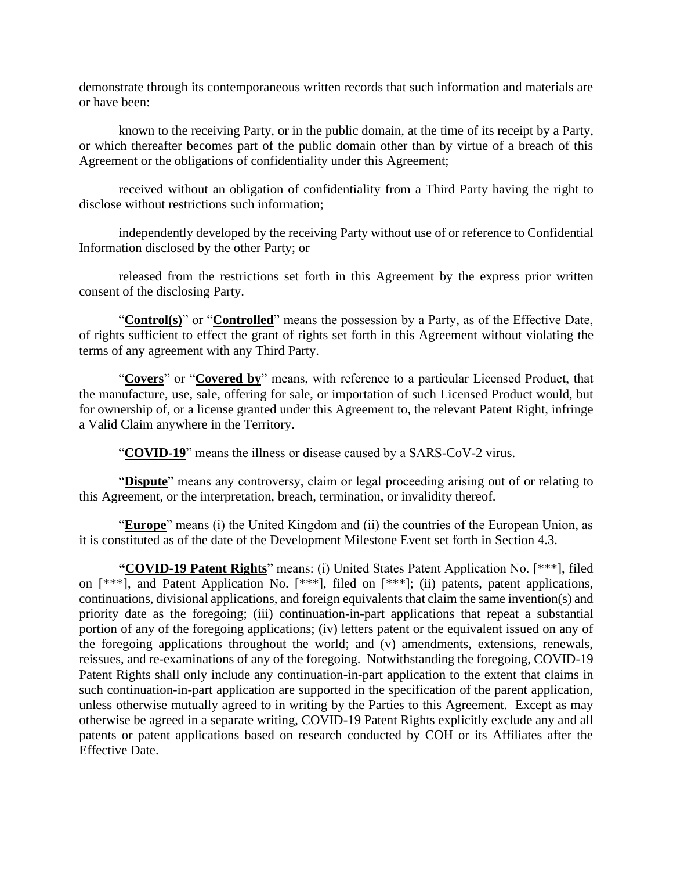demonstrate through its contemporaneous written records that such information and materials are or have been:

known to the receiving Party, or in the public domain, at the time of its receipt by a Party, or which thereafter becomes part of the public domain other than by virtue of a breach of this Agreement or the obligations of confidentiality under this Agreement;

received without an obligation of confidentiality from a Third Party having the right to disclose without restrictions such information;

independently developed by the receiving Party without use of or reference to Confidential Information disclosed by the other Party; or

released from the restrictions set forth in this Agreement by the express prior written consent of the disclosing Party.

"**Control(s)**" or "**Controlled**" means the possession by a Party, as of the Effective Date, of rights sufficient to effect the grant of rights set forth in this Agreement without violating the terms of any agreement with any Third Party.

"**Covers**" or "**Covered by**" means, with reference to a particular Licensed Product, that the manufacture, use, sale, offering for sale, or importation of such Licensed Product would, but for ownership of, or a license granted under this Agreement to, the relevant Patent Right, infringe a Valid Claim anywhere in the Territory.

"**COVID-19**" means the illness or disease caused by a SARS-CoV-2 virus.

"**Dispute**" means any controversy, claim or legal proceeding arising out of or relating to this Agreement, or the interpretation, breach, termination, or invalidity thereof.

"**Europe**" means (i) the United Kingdom and (ii) the countries of the European Union, as it is constituted as of the date of the Development Milestone Event set forth in Section 4.3.

**"COVID-19 Patent Rights**" means: (i) United States Patent Application No. [\*\*\*], filed on [\*\*\*], and Patent Application No. [\*\*\*], filed on [\*\*\*]; (ii) patents, patent applications, continuations, divisional applications, and foreign equivalents that claim the same invention(s) and priority date as the foregoing; (iii) continuation-in-part applications that repeat a substantial portion of any of the foregoing applications; (iv) letters patent or the equivalent issued on any of the foregoing applications throughout the world; and (v) amendments, extensions, renewals, reissues, and re-examinations of any of the foregoing. Notwithstanding the foregoing, COVID-19 Patent Rights shall only include any continuation-in-part application to the extent that claims in such continuation-in-part application are supported in the specification of the parent application, unless otherwise mutually agreed to in writing by the Parties to this Agreement. Except as may otherwise be agreed in a separate writing, COVID-19 Patent Rights explicitly exclude any and all patents or patent applications based on research conducted by COH or its Affiliates after the Effective Date.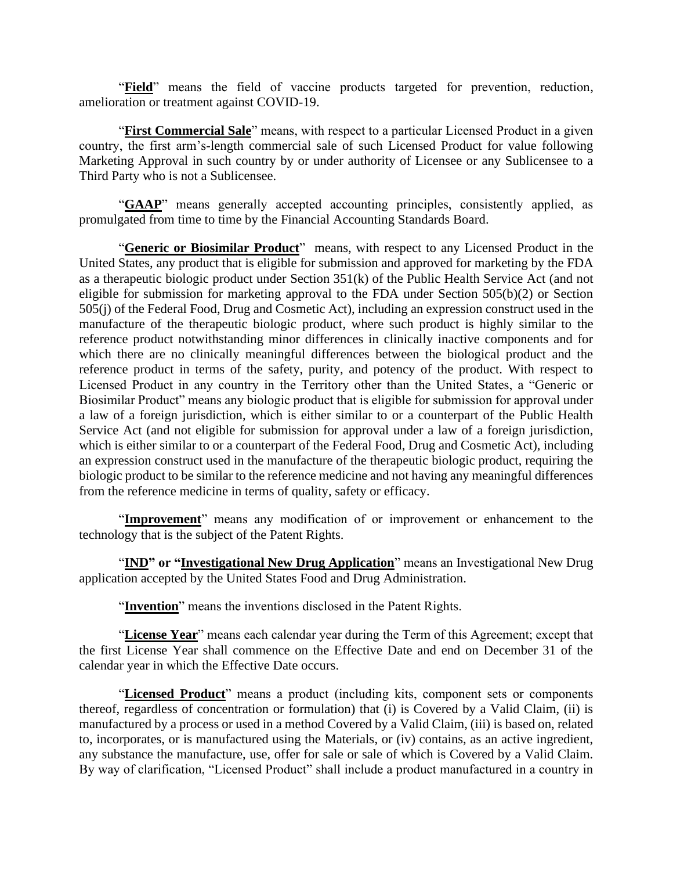"**Field**" means the field of vaccine products targeted for prevention, reduction, amelioration or treatment against COVID-19.

"**First Commercial Sale**" means, with respect to a particular Licensed Product in a given country, the first arm's-length commercial sale of such Licensed Product for value following Marketing Approval in such country by or under authority of Licensee or any Sublicensee to a Third Party who is not a Sublicensee.

"**GAAP**" means generally accepted accounting principles, consistently applied, as promulgated from time to time by the Financial Accounting Standards Board.

"**Generic or Biosimilar Product**" means, with respect to any Licensed Product in the United States, any product that is eligible for submission and approved for marketing by the FDA as a therapeutic biologic product under Section 351(k) of the Public Health Service Act (and not eligible for submission for marketing approval to the FDA under Section 505(b)(2) or Section 505(j) of the Federal Food, Drug and Cosmetic Act), including an expression construct used in the manufacture of the therapeutic biologic product, where such product is highly similar to the reference product notwithstanding minor differences in clinically inactive components and for which there are no clinically meaningful differences between the biological product and the reference product in terms of the safety, purity, and potency of the product. With respect to Licensed Product in any country in the Territory other than the United States, a "Generic or Biosimilar Product" means any biologic product that is eligible for submission for approval under a law of a foreign jurisdiction, which is either similar to or a counterpart of the Public Health Service Act (and not eligible for submission for approval under a law of a foreign jurisdiction, which is either similar to or a counterpart of the Federal Food, Drug and Cosmetic Act), including an expression construct used in the manufacture of the therapeutic biologic product, requiring the biologic product to be similar to the reference medicine and not having any meaningful differences from the reference medicine in terms of quality, safety or efficacy.

"**Improvement**" means any modification of or improvement or enhancement to the technology that is the subject of the Patent Rights.

"**IND**" or "**Investigational New Drug Application**" means an Investigational New Drug application accepted by the United States Food and Drug Administration.

"**Invention**" means the inventions disclosed in the Patent Rights.

"License Year" means each calendar year during the Term of this Agreement; except that the first License Year shall commence on the Effective Date and end on December 31 of the calendar year in which the Effective Date occurs.

"**Licensed Product**" means a product (including kits, component sets or components thereof, regardless of concentration or formulation) that (i) is Covered by a Valid Claim, (ii) is manufactured by a process or used in a method Covered by a Valid Claim, (iii) is based on, related to, incorporates, or is manufactured using the Materials, or (iv) contains, as an active ingredient, any substance the manufacture, use, offer for sale or sale of which is Covered by a Valid Claim. By way of clarification, "Licensed Product" shall include a product manufactured in a country in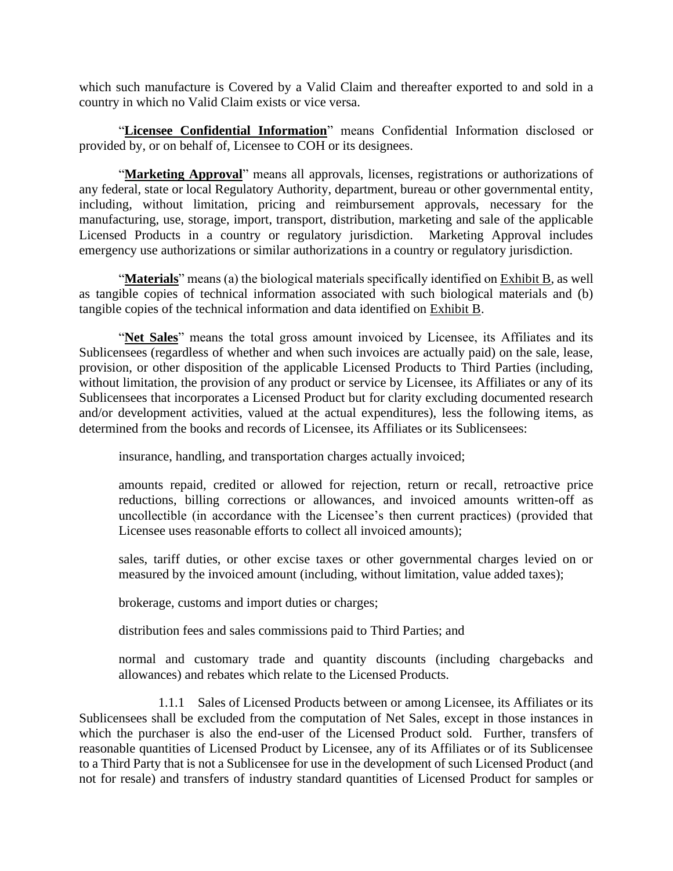which such manufacture is Covered by a Valid Claim and thereafter exported to and sold in a country in which no Valid Claim exists or vice versa.

"**Licensee Confidential Information**" means Confidential Information disclosed or provided by, or on behalf of, Licensee to COH or its designees.

"Marketing Approval" means all approvals, licenses, registrations or authorizations of any federal, state or local Regulatory Authority, department, bureau or other governmental entity, including, without limitation, pricing and reimbursement approvals, necessary for the manufacturing, use, storage, import, transport, distribution, marketing and sale of the applicable Licensed Products in a country or regulatory jurisdiction. Marketing Approval includes emergency use authorizations or similar authorizations in a country or regulatory jurisdiction.

"**Materials**" means (a) the biological materials specifically identified on Exhibit B, as well as tangible copies of technical information associated with such biological materials and (b) tangible copies of the technical information and data identified on Exhibit B.

"**Net Sales**" means the total gross amount invoiced by Licensee, its Affiliates and its Sublicensees (regardless of whether and when such invoices are actually paid) on the sale, lease, provision, or other disposition of the applicable Licensed Products to Third Parties (including, without limitation, the provision of any product or service by Licensee, its Affiliates or any of its Sublicensees that incorporates a Licensed Product but for clarity excluding documented research and/or development activities, valued at the actual expenditures), less the following items, as determined from the books and records of Licensee, its Affiliates or its Sublicensees:

insurance, handling, and transportation charges actually invoiced;

amounts repaid, credited or allowed for rejection, return or recall, retroactive price reductions, billing corrections or allowances, and invoiced amounts written-off as uncollectible (in accordance with the Licensee's then current practices) (provided that Licensee uses reasonable efforts to collect all invoiced amounts);

sales, tariff duties, or other excise taxes or other governmental charges levied on or measured by the invoiced amount (including, without limitation, value added taxes);

brokerage, customs and import duties or charges;

distribution fees and sales commissions paid to Third Parties; and

normal and customary trade and quantity discounts (including chargebacks and allowances) and rebates which relate to the Licensed Products.

1.1.1 Sales of Licensed Products between or among Licensee, its Affiliates or its Sublicensees shall be excluded from the computation of Net Sales, except in those instances in which the purchaser is also the end-user of the Licensed Product sold. Further, transfers of reasonable quantities of Licensed Product by Licensee, any of its Affiliates or of its Sublicensee to a Third Party that is not a Sublicensee for use in the development of such Licensed Product (and not for resale) and transfers of industry standard quantities of Licensed Product for samples or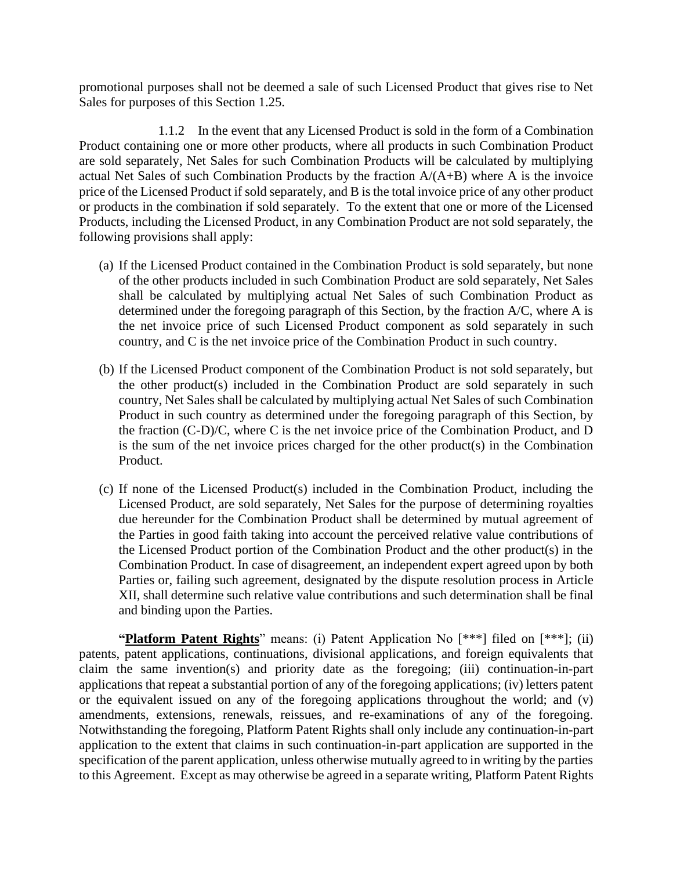promotional purposes shall not be deemed a sale of such Licensed Product that gives rise to Net Sales for purposes of this Section 1.25.

1.1.2 In the event that any Licensed Product is sold in the form of a Combination Product containing one or more other products, where all products in such Combination Product are sold separately, Net Sales for such Combination Products will be calculated by multiplying actual Net Sales of such Combination Products by the fraction  $A/(A+B)$  where A is the invoice price of the Licensed Product if sold separately, and B is the total invoice price of any other product or products in the combination if sold separately. To the extent that one or more of the Licensed Products, including the Licensed Product, in any Combination Product are not sold separately, the following provisions shall apply:

- (a) If the Licensed Product contained in the Combination Product is sold separately, but none of the other products included in such Combination Product are sold separately, Net Sales shall be calculated by multiplying actual Net Sales of such Combination Product as determined under the foregoing paragraph of this Section, by the fraction A/C, where A is the net invoice price of such Licensed Product component as sold separately in such country, and C is the net invoice price of the Combination Product in such country.
- (b) If the Licensed Product component of the Combination Product is not sold separately, but the other product(s) included in the Combination Product are sold separately in such country, Net Sales shall be calculated by multiplying actual Net Sales of such Combination Product in such country as determined under the foregoing paragraph of this Section, by the fraction (C-D)/C, where C is the net invoice price of the Combination Product, and D is the sum of the net invoice prices charged for the other product(s) in the Combination Product.
- (c) If none of the Licensed Product(s) included in the Combination Product, including the Licensed Product, are sold separately, Net Sales for the purpose of determining royalties due hereunder for the Combination Product shall be determined by mutual agreement of the Parties in good faith taking into account the perceived relative value contributions of the Licensed Product portion of the Combination Product and the other product(s) in the Combination Product. In case of disagreement, an independent expert agreed upon by both Parties or, failing such agreement, designated by the dispute resolution process in Article XII, shall determine such relative value contributions and such determination shall be final and binding upon the Parties.

**"Platform Patent Rights**" means: (i) Patent Application No [\*\*\*] filed on [\*\*\*]; (ii) patents, patent applications, continuations, divisional applications, and foreign equivalents that claim the same invention(s) and priority date as the foregoing; (iii) continuation-in-part applications that repeat a substantial portion of any of the foregoing applications; (iv) letters patent or the equivalent issued on any of the foregoing applications throughout the world; and (v) amendments, extensions, renewals, reissues, and re-examinations of any of the foregoing. Notwithstanding the foregoing, Platform Patent Rights shall only include any continuation-in-part application to the extent that claims in such continuation-in-part application are supported in the specification of the parent application, unless otherwise mutually agreed to in writing by the parties to this Agreement. Except as may otherwise be agreed in a separate writing, Platform Patent Rights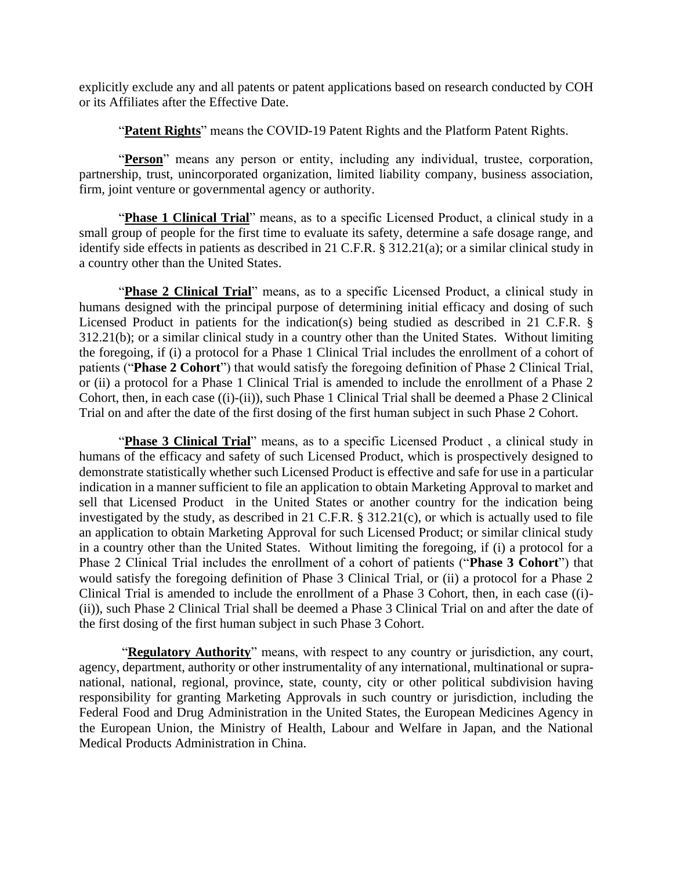explicitly exclude any and all patents or patent applications based on research conducted by COH or its Affiliates after the Effective Date.

"**Patent Rights**" means the COVID-19 Patent Rights and the Platform Patent Rights.

"Person" means any person or entity, including any individual, trustee, corporation, partnership, trust, unincorporated organization, limited liability company, business association, firm, joint venture or governmental agency or authority.

"Phase 1 Clinical Trial" means, as to a specific Licensed Product, a clinical study in a small group of people for the first time to evaluate its safety, determine a safe dosage range, and identify side effects in patients as described in 21 C.F.R. § 312.21(a); or a similar clinical study in a country other than the United States.

"**Phase 2 Clinical Trial**" means, as to a specific Licensed Product, a clinical study in humans designed with the principal purpose of determining initial efficacy and dosing of such Licensed Product in patients for the indication(s) being studied as described in 21 C.F.R. § 312.21(b); or a similar clinical study in a country other than the United States. Without limiting the foregoing, if (i) a protocol for a Phase 1 Clinical Trial includes the enrollment of a cohort of patients ("**Phase 2 Cohort**") that would satisfy the foregoing definition of Phase 2 Clinical Trial, or (ii) a protocol for a Phase 1 Clinical Trial is amended to include the enrollment of a Phase 2 Cohort, then, in each case ((i)-(ii)), such Phase 1 Clinical Trial shall be deemed a Phase 2 Clinical Trial on and after the date of the first dosing of the first human subject in such Phase 2 Cohort.

"**Phase 3 Clinical Trial**" means, as to a specific Licensed Product , a clinical study in humans of the efficacy and safety of such Licensed Product, which is prospectively designed to demonstrate statistically whether such Licensed Product is effective and safe for use in a particular indication in a manner sufficient to file an application to obtain Marketing Approval to market and sell that Licensed Product in the United States or another country for the indication being investigated by the study, as described in 21 C.F.R. § 312.21(c), or which is actually used to file an application to obtain Marketing Approval for such Licensed Product; or similar clinical study in a country other than the United States. Without limiting the foregoing, if (i) a protocol for a Phase 2 Clinical Trial includes the enrollment of a cohort of patients ("**Phase 3 Cohort**") that would satisfy the foregoing definition of Phase 3 Clinical Trial, or (ii) a protocol for a Phase 2 Clinical Trial is amended to include the enrollment of a Phase 3 Cohort, then, in each case ((i)- (ii)), such Phase 2 Clinical Trial shall be deemed a Phase 3 Clinical Trial on and after the date of the first dosing of the first human subject in such Phase 3 Cohort.

"**Regulatory Authority**" means, with respect to any country or jurisdiction, any court, agency, department, authority or other instrumentality of any international, multinational or supranational, national, regional, province, state, county, city or other political subdivision having responsibility for granting Marketing Approvals in such country or jurisdiction, including the Federal Food and Drug Administration in the United States, the European Medicines Agency in the European Union, the Ministry of Health, Labour and Welfare in Japan, and the National Medical Products Administration in China.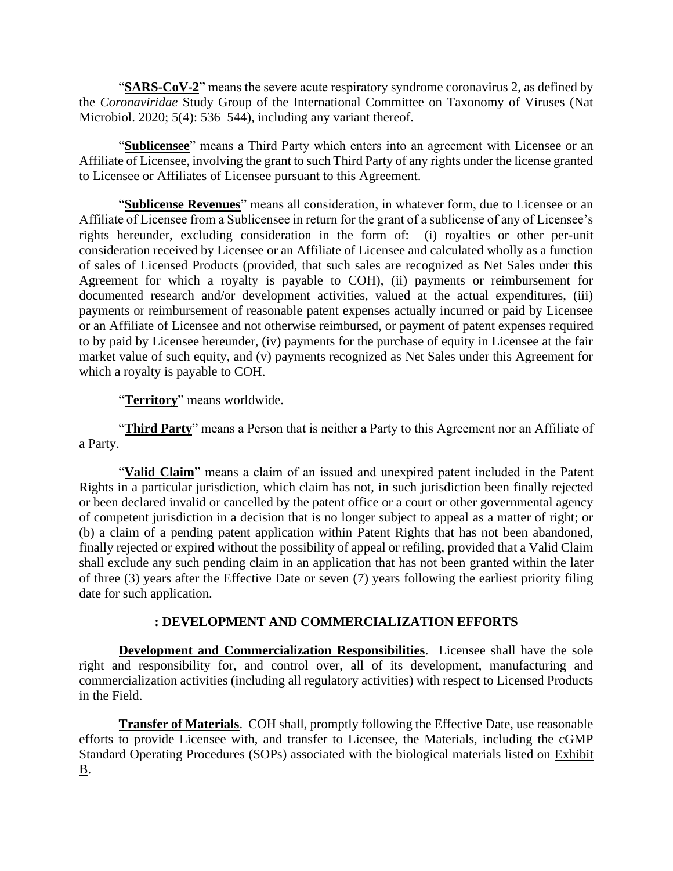"**SARS-CoV-2**" means the severe acute respiratory syndrome coronavirus 2, as defined by the *Coronaviridae* Study Group of the International Committee on Taxonomy of Viruses (Nat Microbiol. 2020; 5(4): 536–544), including any variant thereof.

"**Sublicensee**" means a Third Party which enters into an agreement with Licensee or an Affiliate of Licensee, involving the grant to such Third Party of any rights under the license granted to Licensee or Affiliates of Licensee pursuant to this Agreement.

"**Sublicense Revenues**" means all consideration, in whatever form, due to Licensee or an Affiliate of Licensee from a Sublicensee in return for the grant of a sublicense of any of Licensee's rights hereunder, excluding consideration in the form of: (i) royalties or other per-unit consideration received by Licensee or an Affiliate of Licensee and calculated wholly as a function of sales of Licensed Products (provided, that such sales are recognized as Net Sales under this Agreement for which a royalty is payable to COH), (ii) payments or reimbursement for documented research and/or development activities, valued at the actual expenditures, (iii) payments or reimbursement of reasonable patent expenses actually incurred or paid by Licensee or an Affiliate of Licensee and not otherwise reimbursed, or payment of patent expenses required to by paid by Licensee hereunder, (iv) payments for the purchase of equity in Licensee at the fair market value of such equity, and (v) payments recognized as Net Sales under this Agreement for which a royalty is payable to COH.

"**Territory**" means worldwide.

"**Third Party**" means a Person that is neither a Party to this Agreement nor an Affiliate of a Party.

"**Valid Claim**" means a claim of an issued and unexpired patent included in the Patent Rights in a particular jurisdiction, which claim has not, in such jurisdiction been finally rejected or been declared invalid or cancelled by the patent office or a court or other governmental agency of competent jurisdiction in a decision that is no longer subject to appeal as a matter of right; or (b) a claim of a pending patent application within Patent Rights that has not been abandoned, finally rejected or expired without the possibility of appeal or refiling, provided that a Valid Claim shall exclude any such pending claim in an application that has not been granted within the later of three (3) years after the Effective Date or seven (7) years following the earliest priority filing date for such application.

### **: DEVELOPMENT AND COMMERCIALIZATION EFFORTS**

**Development and Commercialization Responsibilities**. Licensee shall have the sole right and responsibility for, and control over, all of its development, manufacturing and commercialization activities (including all regulatory activities) with respect to Licensed Products in the Field.

**Transfer of Materials.** COH shall, promptly following the Effective Date, use reasonable efforts to provide Licensee with, and transfer to Licensee, the Materials, including the cGMP Standard Operating Procedures (SOPs) associated with the biological materials listed on Exhibit B.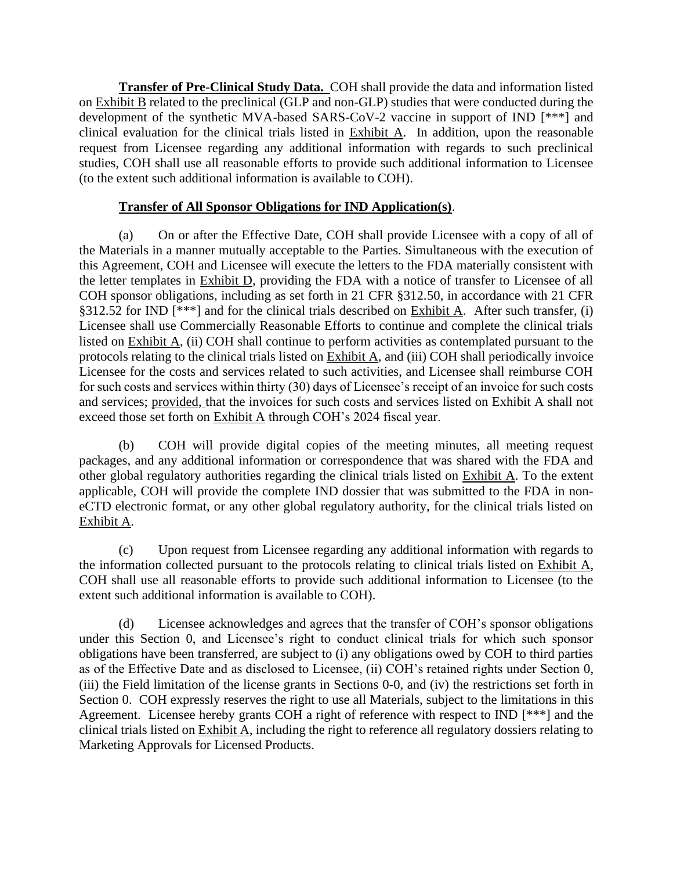**Transfer of Pre-Clinical Study Data.** COH shall provide the data and information listed on Exhibit B related to the preclinical (GLP and non-GLP) studies that were conducted during the development of the synthetic MVA-based SARS-CoV-2 vaccine in support of IND [\*\*\*] and clinical evaluation for the clinical trials listed in Exhibit A. In addition, upon the reasonable request from Licensee regarding any additional information with regards to such preclinical studies, COH shall use all reasonable efforts to provide such additional information to Licensee (to the extent such additional information is available to COH).

## **Transfer of All Sponsor Obligations for IND Application(s)**.

<span id="page-11-0"></span>(a) On or after the Effective Date, COH shall provide Licensee with a copy of all of the Materials in a manner mutually acceptable to the Parties. Simultaneous with the execution of this Agreement, COH and Licensee will execute the letters to the FDA materially consistent with the letter templates in Exhibit D, providing the FDA with a notice of transfer to Licensee of all COH sponsor obligations, including as set forth in 21 CFR §312.50, in accordance with 21 CFR §312.52 for IND  $[***]$  and for the clinical trials described on Exhibit A. After such transfer, (i) Licensee shall use Commercially Reasonable Efforts to continue and complete the clinical trials listed on Exhibit A, (ii) COH shall continue to perform activities as contemplated pursuant to the protocols relating to the clinical trials listed on Exhibit A, and (iii) COH shall periodically invoice Licensee for the costs and services related to such activities, and Licensee shall reimburse COH for such costs and services within thirty (30) days of Licensee's receipt of an invoice for such costs and services; provided, that the invoices for such costs and services listed on Exhibit A shall not exceed those set forth on Exhibit A through COH's 2024 fiscal year.

(b) COH will provide digital copies of the meeting minutes, all meeting request packages, and any additional information or correspondence that was shared with the FDA and other global regulatory authorities regarding the clinical trials listed on Exhibit A. To the extent applicable, COH will provide the complete IND dossier that was submitted to the FDA in noneCTD electronic format, or any other global regulatory authority, for the clinical trials listed on Exhibit A.

(c) Upon request from Licensee regarding any additional information with regards to the information collected pursuant to the protocols relating to clinical trials listed on Exhibit A, COH shall use all reasonable efforts to provide such additional information to Licensee (to the extent such additional information is available to COH).

(d) Licensee acknowledges and agrees that the transfer of COH's sponsor obligations under this Section [0,](#page-11-0) and Licensee's right to conduct clinical trials for which such sponsor obligations have been transferred, are subject to (i) any obligations owed by COH to third parties as of the Effective Date and as disclosed to Licensee, (ii) COH's retained rights under Section [0,](#page-13-0) (iii) the Field limitation of the license grants in Sections [0](#page-13-1)[-0,](#page-13-2) and (iv) the restrictions set forth in Section [0.](#page-13-3) COH expressly reserves the right to use all Materials, subject to the limitations in this Agreement. Licensee hereby grants COH a right of reference with respect to IND [\*\*\*] and the clinical trials listed on Exhibit A, including the right to reference all regulatory dossiers relating to Marketing Approvals for Licensed Products.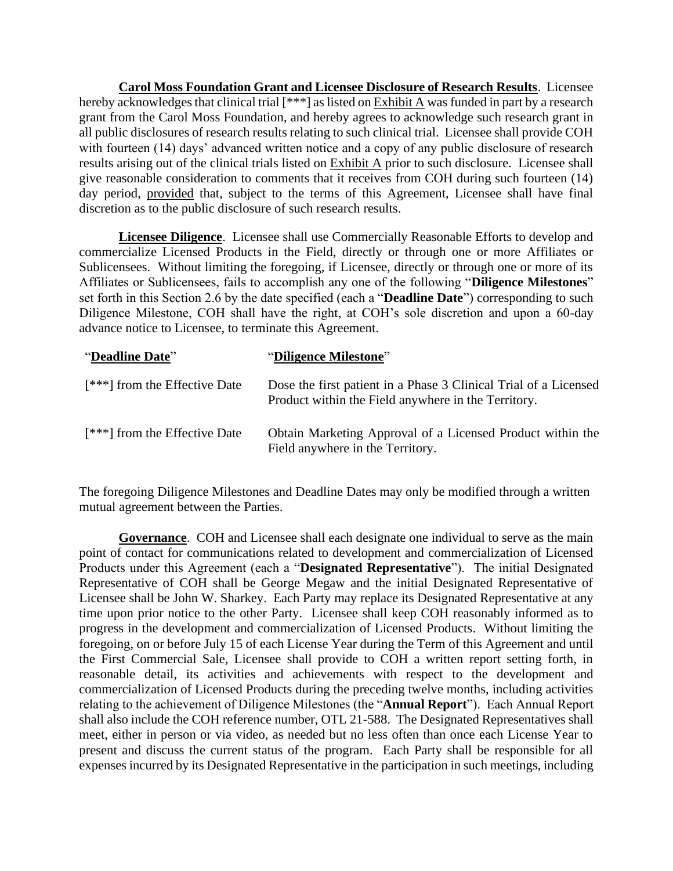**Carol Moss Foundation Grant and Licensee Disclosure of Research Results**. Licensee hereby acknowledges that clinical trial  $[***]$  as listed on Exhibit A was funded in part by a research grant from the Carol Moss Foundation, and hereby agrees to acknowledge such research grant in all public disclosures of research results relating to such clinical trial. Licensee shall provide COH with fourteen (14) days' advanced written notice and a copy of any public disclosure of research results arising out of the clinical trials listed on Exhibit A prior to such disclosure. Licensee shall give reasonable consideration to comments that it receives from COH during such fourteen (14) day period, provided that, subject to the terms of this Agreement, Licensee shall have final discretion as to the public disclosure of such research results.

**Licensee Diligence**. Licensee shall use Commercially Reasonable Efforts to develop and commercialize Licensed Products in the Field, directly or through one or more Affiliates or Sublicensees. Without limiting the foregoing, if Licensee, directly or through one or more of its Affiliates or Sublicensees, fails to accomplish any one of the following "**Diligence Milestones**" set forth in this Section 2.6 by the date specified (each a "**Deadline Date**") corresponding to such Diligence Milestone, COH shall have the right, at COH's sole discretion and upon a 60-day advance notice to Licensee, to terminate this Agreement.

| "Deadline Date"                 | "Diligence Milestone"                                                                                                   |
|---------------------------------|-------------------------------------------------------------------------------------------------------------------------|
| $[***]$ from the Effective Date | Dose the first patient in a Phase 3 Clinical Trial of a Licensed<br>Product within the Field anywhere in the Territory. |
| $[***]$ from the Effective Date | Obtain Marketing Approval of a Licensed Product within the<br>Field anywhere in the Territory.                          |

The foregoing Diligence Milestones and Deadline Dates may only be modified through a written mutual agreement between the Parties.

**Governance**. COH and Licensee shall each designate one individual to serve as the main point of contact for communications related to development and commercialization of Licensed Products under this Agreement (each a "**Designated Representative**"). The initial Designated Representative of COH shall be George Megaw and the initial Designated Representative of Licensee shall be John W. Sharkey. Each Party may replace its Designated Representative at any time upon prior notice to the other Party. Licensee shall keep COH reasonably informed as to progress in the development and commercialization of Licensed Products. Without limiting the foregoing, on or before July 15 of each License Year during the Term of this Agreement and until the First Commercial Sale, Licensee shall provide to COH a written report setting forth, in reasonable detail, its activities and achievements with respect to the development and commercialization of Licensed Products during the preceding twelve months, including activities relating to the achievement of Diligence Milestones (the "**Annual Report**"). Each Annual Report shall also include the COH reference number, OTL 21-588. The Designated Representatives shall meet, either in person or via video, as needed but no less often than once each License Year to present and discuss the current status of the program. Each Party shall be responsible for all expenses incurred by its Designated Representative in the participation in such meetings, including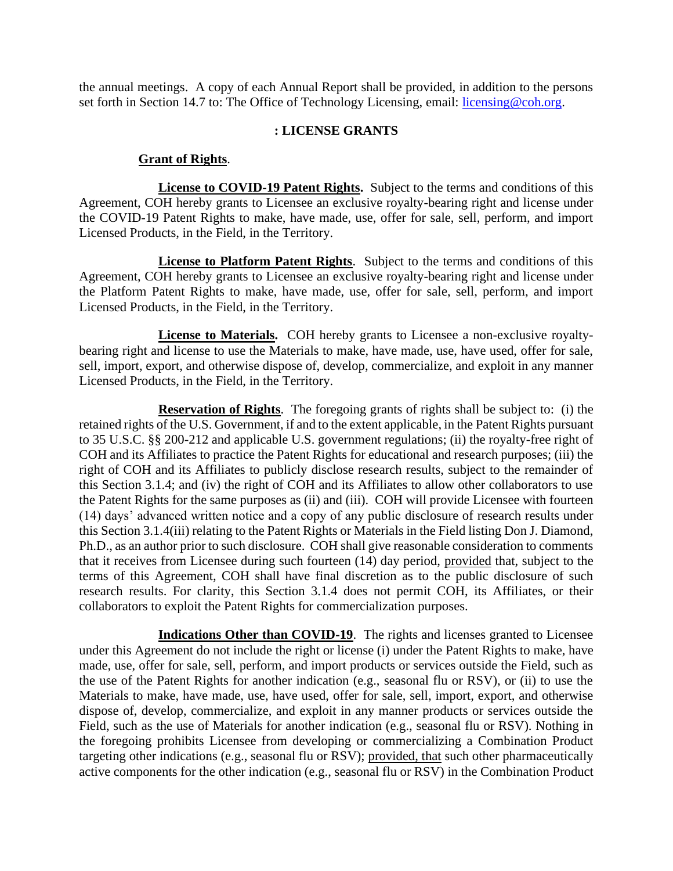the annual meetings. A copy of each Annual Report shall be provided, in addition to the persons set forth in Section 14.7 to: The Office of Technology Licensing, email: [licensing@coh.org.](mailto:licensing@coh.org)

#### <span id="page-13-0"></span>**: LICENSE GRANTS**

#### **Grant of Rights**.

<span id="page-13-1"></span>**License to COVID-19 Patent Rights.** Subject to the terms and conditions of this Agreement, COH hereby grants to Licensee an exclusive royalty-bearing right and license under the COVID-19 Patent Rights to make, have made, use, offer for sale, sell, perform, and import Licensed Products, in the Field, in the Territory.

**License to Platform Patent Rights**. Subject to the terms and conditions of this Agreement, COH hereby grants to Licensee an exclusive royalty-bearing right and license under the Platform Patent Rights to make, have made, use, offer for sale, sell, perform, and import Licensed Products, in the Field, in the Territory.

<span id="page-13-2"></span>**License to Materials.** COH hereby grants to Licensee a non-exclusive royaltybearing right and license to use the Materials to make, have made, use, have used, offer for sale, sell, import, export, and otherwise dispose of, develop, commercialize, and exploit in any manner Licensed Products, in the Field, in the Territory.

**Reservation of Rights**. The foregoing grants of rights shall be subject to: (i) the retained rights of the U.S. Government, if and to the extent applicable, in the Patent Rights pursuant to 35 U.S.C. §§ 200-212 and applicable U.S. government regulations; (ii) the royalty-free right of COH and its Affiliates to practice the Patent Rights for educational and research purposes; (iii) the right of COH and its Affiliates to publicly disclose research results, subject to the remainder of this Section 3.1.4; and (iv) the right of COH and its Affiliates to allow other collaborators to use the Patent Rights for the same purposes as (ii) and (iii). COH will provide Licensee with fourteen (14) days' advanced written notice and a copy of any public disclosure of research results under this Section 3.1.4(iii) relating to the Patent Rights or Materials in the Field listing Don J. Diamond, Ph.D., as an author prior to such disclosure. COH shall give reasonable consideration to comments that it receives from Licensee during such fourteen (14) day period, provided that, subject to the terms of this Agreement, COH shall have final discretion as to the public disclosure of such research results. For clarity, this Section 3.1.4 does not permit COH, its Affiliates, or their collaborators to exploit the Patent Rights for commercialization purposes.

<span id="page-13-3"></span>**Indications Other than COVID-19.** The rights and licenses granted to Licensee under this Agreement do not include the right or license (i) under the Patent Rights to make, have made, use, offer for sale, sell, perform, and import products or services outside the Field, such as the use of the Patent Rights for another indication (e.g., seasonal flu or RSV), or (ii) to use the Materials to make, have made, use, have used, offer for sale, sell, import, export, and otherwise dispose of, develop, commercialize, and exploit in any manner products or services outside the Field, such as the use of Materials for another indication (e.g., seasonal flu or RSV). Nothing in the foregoing prohibits Licensee from developing or commercializing a Combination Product targeting other indications (e.g., seasonal flu or RSV); provided, that such other pharmaceutically active components for the other indication (e.g., seasonal flu or RSV) in the Combination Product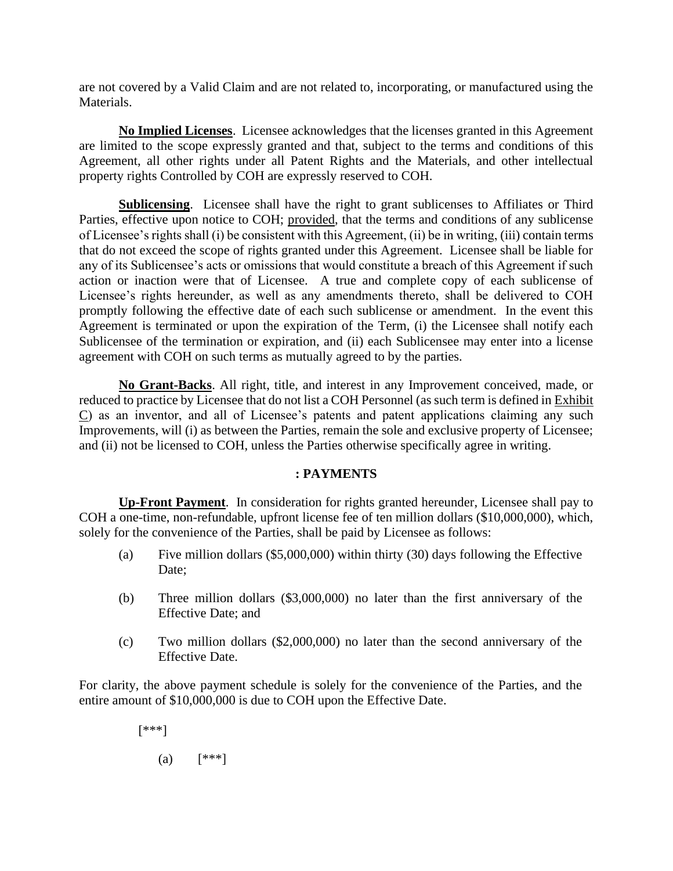are not covered by a Valid Claim and are not related to, incorporating, or manufactured using the Materials.

**No Implied Licenses**. Licensee acknowledges that the licenses granted in this Agreement are limited to the scope expressly granted and that, subject to the terms and conditions of this Agreement, all other rights under all Patent Rights and the Materials, and other intellectual property rights Controlled by COH are expressly reserved to COH.

**Sublicensing**. Licensee shall have the right to grant sublicenses to Affiliates or Third Parties, effective upon notice to COH; provided, that the terms and conditions of any sublicense of Licensee's rights shall (i) be consistent with this Agreement, (ii) be in writing, (iii) contain terms that do not exceed the scope of rights granted under this Agreement. Licensee shall be liable for any of its Sublicensee's acts or omissions that would constitute a breach of this Agreement if such action or inaction were that of Licensee. A true and complete copy of each sublicense of Licensee's rights hereunder, as well as any amendments thereto, shall be delivered to COH promptly following the effective date of each such sublicense or amendment. In the event this Agreement is terminated or upon the expiration of the Term, (i) the Licensee shall notify each Sublicensee of the termination or expiration, and (ii) each Sublicensee may enter into a license agreement with COH on such terms as mutually agreed to by the parties.

**No Grant-Backs**. All right, title, and interest in any Improvement conceived, made, or reduced to practice by Licensee that do not list a COH Personnel (as such term is defined in Exhibit C) as an inventor, and all of Licensee's patents and patent applications claiming any such Improvements, will (i) as between the Parties, remain the sole and exclusive property of Licensee; and (ii) not be licensed to COH, unless the Parties otherwise specifically agree in writing.

### **: PAYMENTS**

**Up-Front Payment**. In consideration for rights granted hereunder, Licensee shall pay to COH a one-time, non-refundable, upfront license fee of ten million dollars (\$10,000,000), which, solely for the convenience of the Parties, shall be paid by Licensee as follows:

- (a) Five million dollars (\$5,000,000) within thirty (30) days following the Effective Date;
- (b) Three million dollars (\$3,000,000) no later than the first anniversary of the Effective Date; and
- (c) Two million dollars (\$2,000,000) no later than the second anniversary of the Effective Date.

For clarity, the above payment schedule is solely for the convenience of the Parties, and the entire amount of \$10,000,000 is due to COH upon the Effective Date.

[\*\*\*]

(a)  $[***]$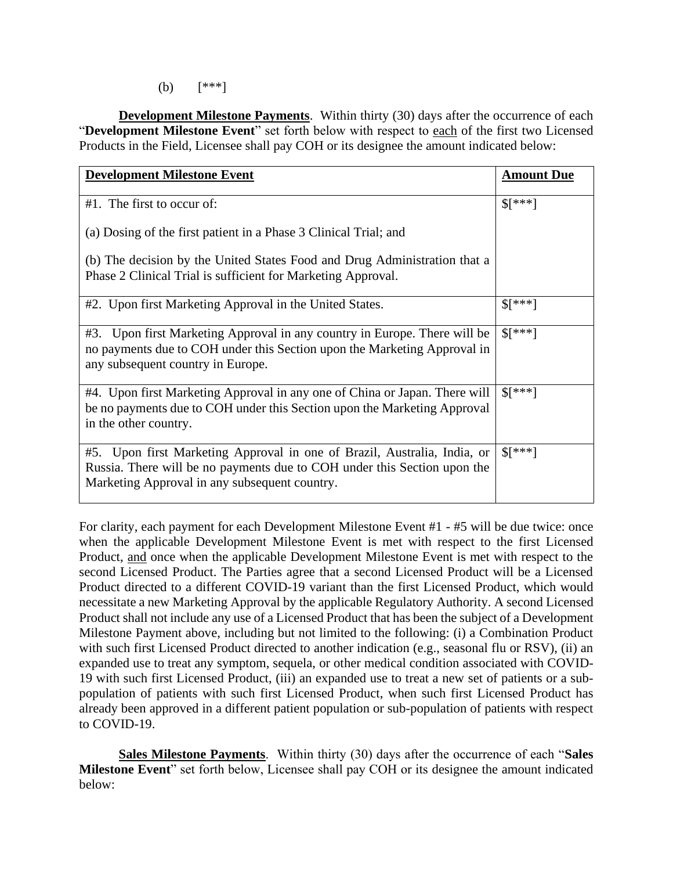(b) [\*\*\*]

**Development Milestone Payments**. Within thirty (30) days after the occurrence of each "**Development Milestone Event**" set forth below with respect to each of the first two Licensed Products in the Field, Licensee shall pay COH or its designee the amount indicated below:

| <b>Development Milestone Event</b>                                                                                                                                                                    | <b>Amount Due</b>    |
|-------------------------------------------------------------------------------------------------------------------------------------------------------------------------------------------------------|----------------------|
| $#1$ . The first to occur of:                                                                                                                                                                         | $\frac{1}{2}$ ***]   |
| (a) Dosing of the first patient in a Phase 3 Clinical Trial; and                                                                                                                                      |                      |
| (b) The decision by the United States Food and Drug Administration that a<br>Phase 2 Clinical Trial is sufficient for Marketing Approval.                                                             |                      |
| #2. Upon first Marketing Approval in the United States.                                                                                                                                               | $\frac{1}{2}$ ***]   |
| #3. Upon first Marketing Approval in any country in Europe. There will be<br>no payments due to COH under this Section upon the Marketing Approval in<br>any subsequent country in Europe.            | $\frac{1}{2}$ ***]   |
| #4. Upon first Marketing Approval in any one of China or Japan. There will<br>be no payments due to COH under this Section upon the Marketing Approval<br>in the other country.                       | $\frac{1}{2}$ \[***] |
| #5. Upon first Marketing Approval in one of Brazil, Australia, India, or<br>Russia. There will be no payments due to COH under this Section upon the<br>Marketing Approval in any subsequent country. | $\frac{1}{2}$ ***]   |

For clarity, each payment for each Development Milestone Event #1 - #5 will be due twice: once when the applicable Development Milestone Event is met with respect to the first Licensed Product, and once when the applicable Development Milestone Event is met with respect to the second Licensed Product. The Parties agree that a second Licensed Product will be a Licensed Product directed to a different COVID-19 variant than the first Licensed Product, which would necessitate a new Marketing Approval by the applicable Regulatory Authority. A second Licensed Product shall not include any use of a Licensed Product that has been the subject of a Development Milestone Payment above, including but not limited to the following: (i) a Combination Product with such first Licensed Product directed to another indication (e.g., seasonal flu or RSV), (ii) an expanded use to treat any symptom, sequela, or other medical condition associated with COVID-19 with such first Licensed Product, (iii) an expanded use to treat a new set of patients or a subpopulation of patients with such first Licensed Product, when such first Licensed Product has already been approved in a different patient population or sub-population of patients with respect to COVID-19.

**Sales Milestone Payments**. Within thirty (30) days after the occurrence of each "**Sales Milestone Event**" set forth below, Licensee shall pay COH or its designee the amount indicated below: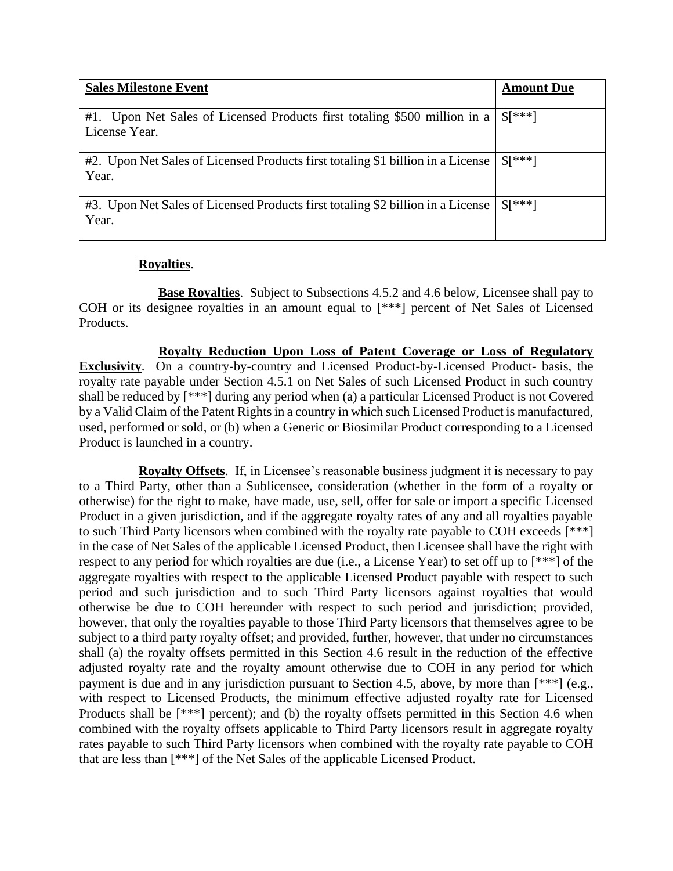| <b>Sales Milestone Event</b>                                                                  | <b>Amount Due</b>    |
|-----------------------------------------------------------------------------------------------|----------------------|
| #1.<br>Upon Net Sales of Licensed Products first totaling \$500 million in a<br>License Year. | $\frac{1}{2}$ \[***] |
| #2. Upon Net Sales of Licensed Products first totaling \$1 billion in a License<br>Year.      | $$[^{***}]$          |
| #3. Upon Net Sales of Licensed Products first totaling \$2 billion in a License<br>Year.      | $\frac{1}{2}$ ***]   |

## **Royalties**.

**Base Royalties**. Subject to Subsections 4.5.2 and 4.6 below, Licensee shall pay to COH or its designee royalties in an amount equal to [\*\*\*] percent of Net Sales of Licensed Products.

**Royalty Reduction Upon Loss of Patent Coverage or Loss of Regulatory Exclusivity**. On a country-by-country and Licensed Product-by-Licensed Product- basis, the royalty rate payable under Section 4.5.1 on Net Sales of such Licensed Product in such country shall be reduced by [\*\*\*] during any period when (a) a particular Licensed Product is not Covered by a Valid Claim of the Patent Rights in a country in which such Licensed Product is manufactured, used, performed or sold, or (b) when a Generic or Biosimilar Product corresponding to a Licensed Product is launched in a country.

**Royalty Offsets**. If, in Licensee's reasonable business judgment it is necessary to pay to a Third Party, other than a Sublicensee, consideration (whether in the form of a royalty or otherwise) for the right to make, have made, use, sell, offer for sale or import a specific Licensed Product in a given jurisdiction, and if the aggregate royalty rates of any and all royalties payable to such Third Party licensors when combined with the royalty rate payable to COH exceeds [\*\*\*] in the case of Net Sales of the applicable Licensed Product, then Licensee shall have the right with respect to any period for which royalties are due (i.e., a License Year) to set off up to [\*\*\*] of the aggregate royalties with respect to the applicable Licensed Product payable with respect to such period and such jurisdiction and to such Third Party licensors against royalties that would otherwise be due to COH hereunder with respect to such period and jurisdiction; provided, however, that only the royalties payable to those Third Party licensors that themselves agree to be subject to a third party royalty offset; and provided, further, however, that under no circumstances shall (a) the royalty offsets permitted in this Section 4.6 result in the reduction of the effective adjusted royalty rate and the royalty amount otherwise due to COH in any period for which payment is due and in any jurisdiction pursuant to Section 4.5, above, by more than [\*\*\*] (e.g., with respect to Licensed Products, the minimum effective adjusted royalty rate for Licensed Products shall be  $[***]$  percent); and (b) the royalty offsets permitted in this Section 4.6 when combined with the royalty offsets applicable to Third Party licensors result in aggregate royalty rates payable to such Third Party licensors when combined with the royalty rate payable to COH that are less than [\*\*\*] of the Net Sales of the applicable Licensed Product.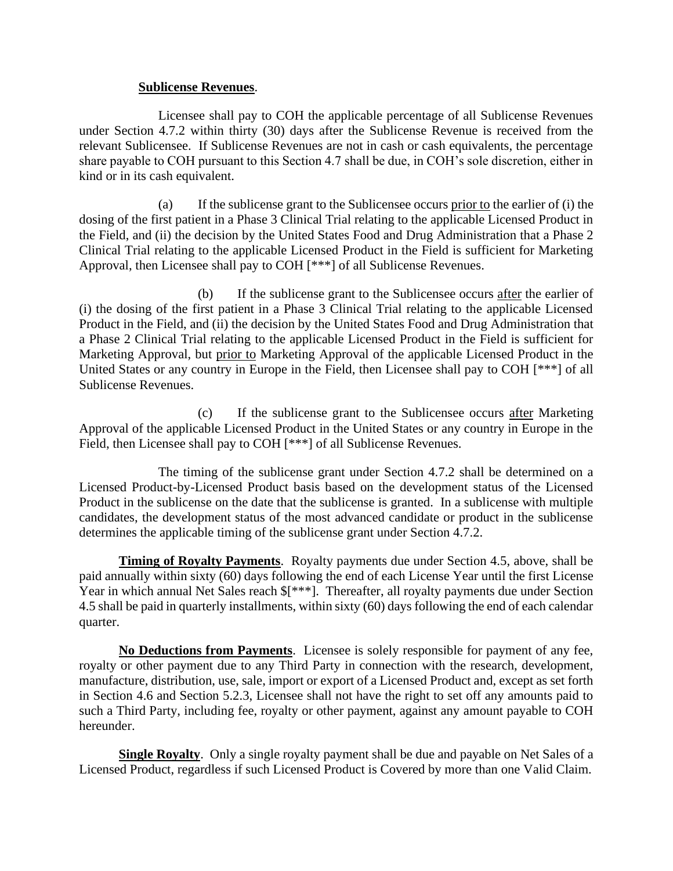#### **Sublicense Revenues**.

Licensee shall pay to COH the applicable percentage of all Sublicense Revenues under Section 4.7.2 within thirty (30) days after the Sublicense Revenue is received from the relevant Sublicensee. If Sublicense Revenues are not in cash or cash equivalents, the percentage share payable to COH pursuant to this Section 4.7 shall be due, in COH's sole discretion, either in kind or in its cash equivalent.

(a) If the sublicense grant to the Sublicensee occurs prior to the earlier of (i) the dosing of the first patient in a Phase 3 Clinical Trial relating to the applicable Licensed Product in the Field, and (ii) the decision by the United States Food and Drug Administration that a Phase 2 Clinical Trial relating to the applicable Licensed Product in the Field is sufficient for Marketing Approval, then Licensee shall pay to COH [\*\*\*] of all Sublicense Revenues.

(b) If the sublicense grant to the Sublicensee occurs after the earlier of (i) the dosing of the first patient in a Phase 3 Clinical Trial relating to the applicable Licensed Product in the Field, and (ii) the decision by the United States Food and Drug Administration that a Phase 2 Clinical Trial relating to the applicable Licensed Product in the Field is sufficient for Marketing Approval, but prior to Marketing Approval of the applicable Licensed Product in the United States or any country in Europe in the Field, then Licensee shall pay to COH [\*\*\*] of all Sublicense Revenues.

(c) If the sublicense grant to the Sublicensee occurs after Marketing Approval of the applicable Licensed Product in the United States or any country in Europe in the Field, then Licensee shall pay to COH [\*\*\*] of all Sublicense Revenues.

The timing of the sublicense grant under Section 4.7.2 shall be determined on a Licensed Product-by-Licensed Product basis based on the development status of the Licensed Product in the sublicense on the date that the sublicense is granted. In a sublicense with multiple candidates, the development status of the most advanced candidate or product in the sublicense determines the applicable timing of the sublicense grant under Section 4.7.2.

**Timing of Royalty Payments**. Royalty payments due under Section 4.5, above, shall be paid annually within sixty (60) days following the end of each License Year until the first License Year in which annual Net Sales reach  $\frac{1}{\sqrt{2}}$ . Thereafter, all royalty payments due under Section 4.5 shall be paid in quarterly installments, within sixty (60) days following the end of each calendar quarter.

**No Deductions from Payments**. Licensee is solely responsible for payment of any fee, royalty or other payment due to any Third Party in connection with the research, development, manufacture, distribution, use, sale, import or export of a Licensed Product and, except as set forth in Section 4.6 and Section 5.2.3, Licensee shall not have the right to set off any amounts paid to such a Third Party, including fee, royalty or other payment, against any amount payable to COH hereunder.

**Single Royalty**. Only a single royalty payment shall be due and payable on Net Sales of a Licensed Product, regardless if such Licensed Product is Covered by more than one Valid Claim.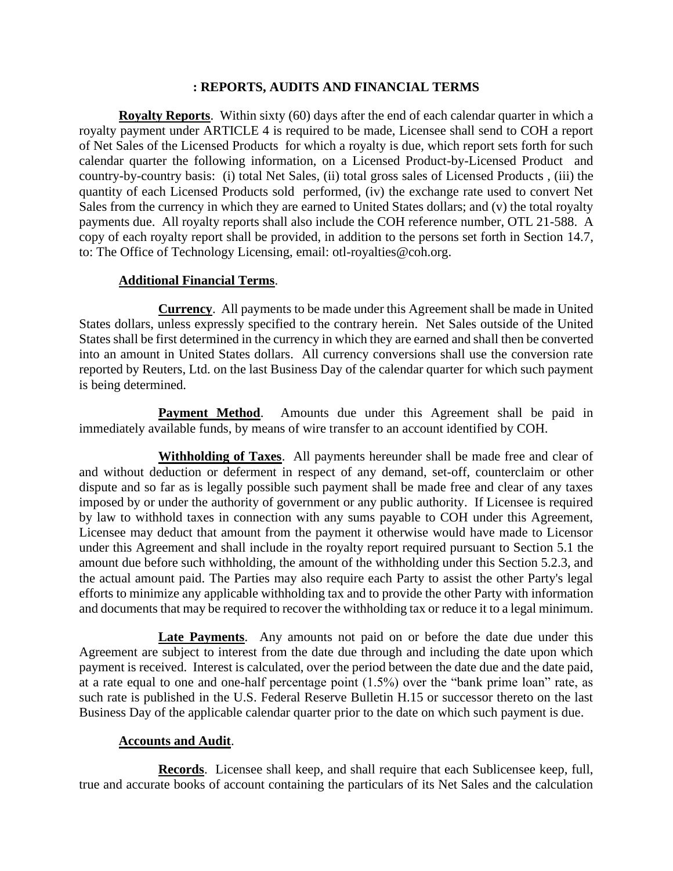#### **: REPORTS, AUDITS AND FINANCIAL TERMS**

**Royalty Reports**. Within sixty (60) days after the end of each calendar quarter in which a royalty payment under ARTICLE 4 is required to be made, Licensee shall send to COH a report of Net Sales of the Licensed Products for which a royalty is due, which report sets forth for such calendar quarter the following information, on a Licensed Product-by-Licensed Product and country-by-country basis: (i) total Net Sales, (ii) total gross sales of Licensed Products , (iii) the quantity of each Licensed Products sold performed, (iv) the exchange rate used to convert Net Sales from the currency in which they are earned to United States dollars; and (v) the total royalty payments due. All royalty reports shall also include the COH reference number, OTL 21-588. A copy of each royalty report shall be provided, in addition to the persons set forth in Section 14.7, to: The Office of Technology Licensing, email: otl-royalties@coh.org.

### **Additional Financial Terms**.

**Currency**. All payments to be made under this Agreement shall be made in United States dollars, unless expressly specified to the contrary herein. Net Sales outside of the United States shall be first determined in the currency in which they are earned and shall then be converted into an amount in United States dollars. All currency conversions shall use the conversion rate reported by Reuters, Ltd. on the last Business Day of the calendar quarter for which such payment is being determined.

**Payment Method.** Amounts due under this Agreement shall be paid in immediately available funds, by means of wire transfer to an account identified by COH.

**Withholding of Taxes**. All payments hereunder shall be made free and clear of and without deduction or deferment in respect of any demand, set-off, counterclaim or other dispute and so far as is legally possible such payment shall be made free and clear of any taxes imposed by or under the authority of government or any public authority. If Licensee is required by law to withhold taxes in connection with any sums payable to COH under this Agreement, Licensee may deduct that amount from the payment it otherwise would have made to Licensor under this Agreement and shall include in the royalty report required pursuant to Section 5.1 the amount due before such withholding, the amount of the withholding under this Section 5.2.3, and the actual amount paid. The Parties may also require each Party to assist the other Party's legal efforts to minimize any applicable withholding tax and to provide the other Party with information and documents that may be required to recover the withholding tax or reduce it to a legal minimum.

**Late Payments**. Any amounts not paid on or before the date due under this Agreement are subject to interest from the date due through and including the date upon which payment is received. Interest is calculated, over the period between the date due and the date paid, at a rate equal to one and one-half percentage point (1.5%) over the "bank prime loan" rate, as such rate is published in the U.S. Federal Reserve Bulletin H.15 or successor thereto on the last Business Day of the applicable calendar quarter prior to the date on which such payment is due.

### **Accounts and Audit**.

**Records**. Licensee shall keep, and shall require that each Sublicensee keep, full, true and accurate books of account containing the particulars of its Net Sales and the calculation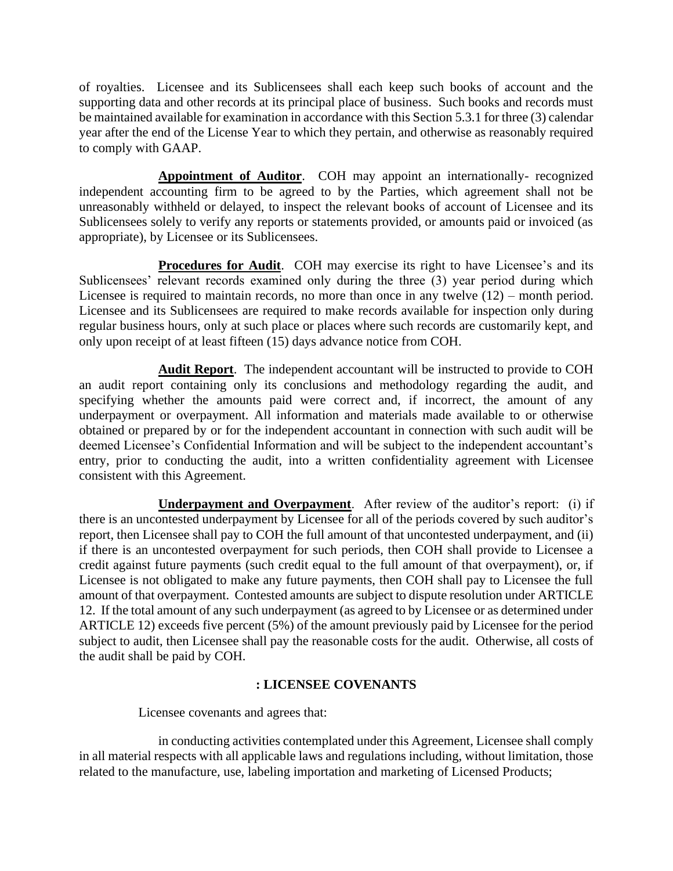of royalties. Licensee and its Sublicensees shall each keep such books of account and the supporting data and other records at its principal place of business. Such books and records must be maintained available for examination in accordance with this Section 5.3.1 for three (3) calendar year after the end of the License Year to which they pertain, and otherwise as reasonably required to comply with GAAP.

**Appointment of Auditor**. COH may appoint an internationally- recognized independent accounting firm to be agreed to by the Parties, which agreement shall not be unreasonably withheld or delayed, to inspect the relevant books of account of Licensee and its Sublicensees solely to verify any reports or statements provided, or amounts paid or invoiced (as appropriate), by Licensee or its Sublicensees.

**Procedures for Audit**. COH may exercise its right to have Licensee's and its Sublicensees' relevant records examined only during the three (3) year period during which Licensee is required to maintain records, no more than once in any twelve (12) – month period. Licensee and its Sublicensees are required to make records available for inspection only during regular business hours, only at such place or places where such records are customarily kept, and only upon receipt of at least fifteen (15) days advance notice from COH.

**Audit Report**. The independent accountant will be instructed to provide to COH an audit report containing only its conclusions and methodology regarding the audit, and specifying whether the amounts paid were correct and, if incorrect, the amount of any underpayment or overpayment. All information and materials made available to or otherwise obtained or prepared by or for the independent accountant in connection with such audit will be deemed Licensee's Confidential Information and will be subject to the independent accountant's entry, prior to conducting the audit, into a written confidentiality agreement with Licensee consistent with this Agreement.

**Underpayment and Overpayment**. After review of the auditor's report: (i) if there is an uncontested underpayment by Licensee for all of the periods covered by such auditor's report, then Licensee shall pay to COH the full amount of that uncontested underpayment, and (ii) if there is an uncontested overpayment for such periods, then COH shall provide to Licensee a credit against future payments (such credit equal to the full amount of that overpayment), or, if Licensee is not obligated to make any future payments, then COH shall pay to Licensee the full amount of that overpayment. Contested amounts are subject to dispute resolution under ARTICLE 12. If the total amount of any such underpayment (as agreed to by Licensee or as determined under ARTICLE 12) exceeds five percent (5%) of the amount previously paid by Licensee for the period subject to audit, then Licensee shall pay the reasonable costs for the audit. Otherwise, all costs of the audit shall be paid by COH.

### **: LICENSEE COVENANTS**

Licensee covenants and agrees that:

in conducting activities contemplated under this Agreement, Licensee shall comply in all material respects with all applicable laws and regulations including, without limitation, those related to the manufacture, use, labeling importation and marketing of Licensed Products;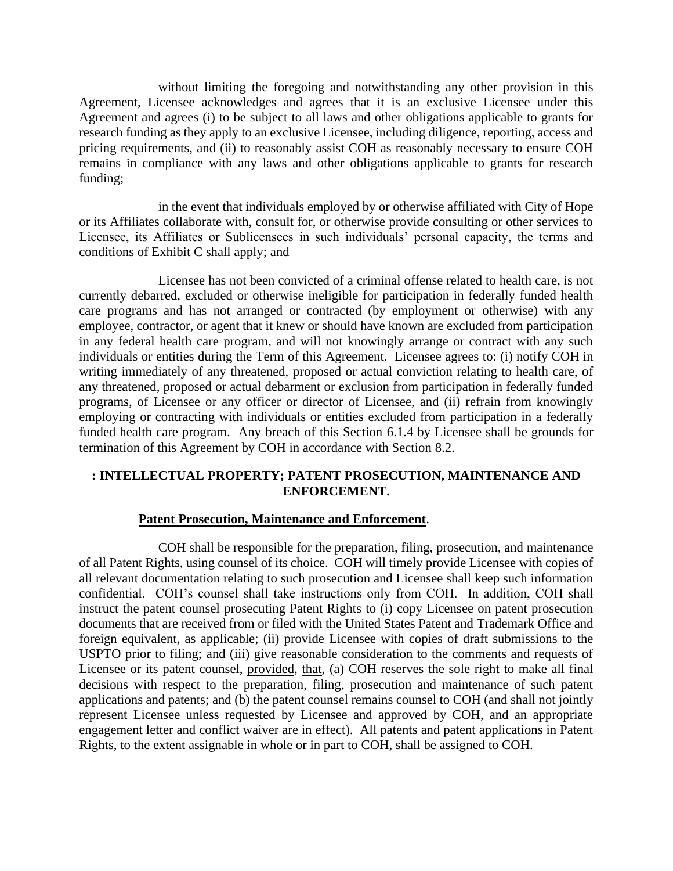without limiting the foregoing and notwithstanding any other provision in this Agreement, Licensee acknowledges and agrees that it is an exclusive Licensee under this Agreement and agrees (i) to be subject to all laws and other obligations applicable to grants for research funding as they apply to an exclusive Licensee, including diligence, reporting, access and pricing requirements, and (ii) to reasonably assist COH as reasonably necessary to ensure COH remains in compliance with any laws and other obligations applicable to grants for research funding;

in the event that individuals employed by or otherwise affiliated with City of Hope or its Affiliates collaborate with, consult for, or otherwise provide consulting or other services to Licensee, its Affiliates or Sublicensees in such individuals' personal capacity, the terms and conditions of Exhibit C shall apply; and

Licensee has not been convicted of a criminal offense related to health care, is not currently debarred, excluded or otherwise ineligible for participation in federally funded health care programs and has not arranged or contracted (by employment or otherwise) with any employee, contractor, or agent that it knew or should have known are excluded from participation in any federal health care program, and will not knowingly arrange or contract with any such individuals or entities during the Term of this Agreement. Licensee agrees to: (i) notify COH in writing immediately of any threatened, proposed or actual conviction relating to health care, of any threatened, proposed or actual debarment or exclusion from participation in federally funded programs, of Licensee or any officer or director of Licensee, and (ii) refrain from knowingly employing or contracting with individuals or entities excluded from participation in a federally funded health care program. Any breach of this Section 6.1.4 by Licensee shall be grounds for termination of this Agreement by COH in accordance with Section 8.2.

## **: INTELLECTUAL PROPERTY; PATENT PROSECUTION, MAINTENANCE AND ENFORCEMENT.**

### **Patent Prosecution, Maintenance and Enforcement**.

COH shall be responsible for the preparation, filing, prosecution, and maintenance of all Patent Rights, using counsel of its choice. COH will timely provide Licensee with copies of all relevant documentation relating to such prosecution and Licensee shall keep such information confidential. COH's counsel shall take instructions only from COH. In addition, COH shall instruct the patent counsel prosecuting Patent Rights to (i) copy Licensee on patent prosecution documents that are received from or filed with the United States Patent and Trademark Office and foreign equivalent, as applicable; (ii) provide Licensee with copies of draft submissions to the USPTO prior to filing; and (iii) give reasonable consideration to the comments and requests of Licensee or its patent counsel, provided, that, (a) COH reserves the sole right to make all final decisions with respect to the preparation, filing, prosecution and maintenance of such patent applications and patents; and (b) the patent counsel remains counsel to COH (and shall not jointly represent Licensee unless requested by Licensee and approved by COH, and an appropriate engagement letter and conflict waiver are in effect). All patents and patent applications in Patent Rights, to the extent assignable in whole or in part to COH, shall be assigned to COH.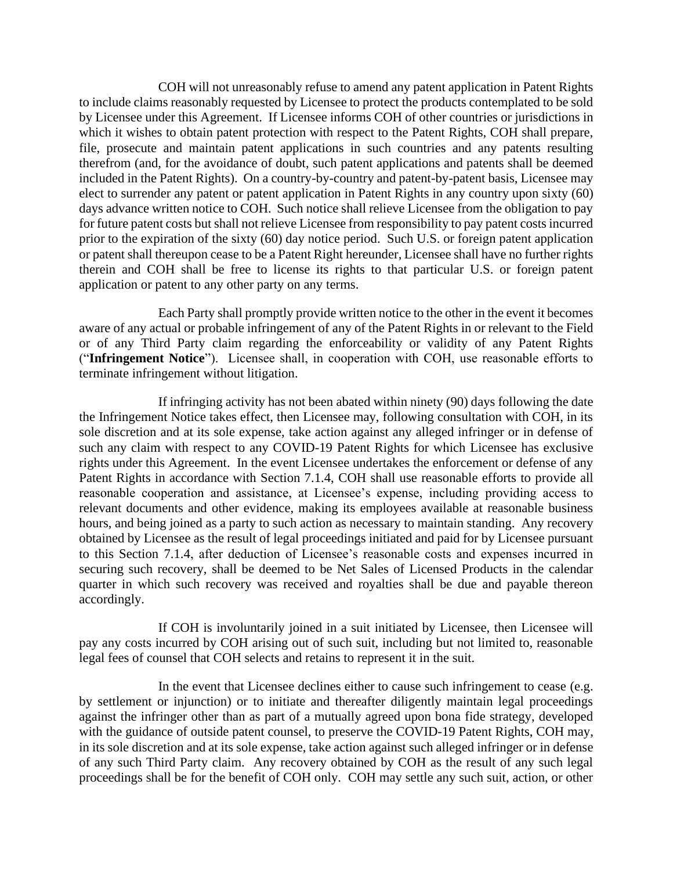COH will not unreasonably refuse to amend any patent application in Patent Rights to include claims reasonably requested by Licensee to protect the products contemplated to be sold by Licensee under this Agreement. If Licensee informs COH of other countries or jurisdictions in which it wishes to obtain patent protection with respect to the Patent Rights, COH shall prepare, file, prosecute and maintain patent applications in such countries and any patents resulting therefrom (and, for the avoidance of doubt, such patent applications and patents shall be deemed included in the Patent Rights). On a country-by-country and patent-by-patent basis, Licensee may elect to surrender any patent or patent application in Patent Rights in any country upon sixty (60) days advance written notice to COH. Such notice shall relieve Licensee from the obligation to pay for future patent costs but shall not relieve Licensee from responsibility to pay patent costs incurred prior to the expiration of the sixty (60) day notice period. Such U.S. or foreign patent application or patent shall thereupon cease to be a Patent Right hereunder, Licensee shall have no further rights therein and COH shall be free to license its rights to that particular U.S. or foreign patent application or patent to any other party on any terms.

Each Party shall promptly provide written notice to the other in the event it becomes aware of any actual or probable infringement of any of the Patent Rights in or relevant to the Field or of any Third Party claim regarding the enforceability or validity of any Patent Rights ("**Infringement Notice**"). Licensee shall, in cooperation with COH, use reasonable efforts to terminate infringement without litigation.

If infringing activity has not been abated within ninety (90) days following the date the Infringement Notice takes effect, then Licensee may, following consultation with COH, in its sole discretion and at its sole expense, take action against any alleged infringer or in defense of such any claim with respect to any COVID-19 Patent Rights for which Licensee has exclusive rights under this Agreement. In the event Licensee undertakes the enforcement or defense of any Patent Rights in accordance with Section 7.1.4, COH shall use reasonable efforts to provide all reasonable cooperation and assistance, at Licensee's expense, including providing access to relevant documents and other evidence, making its employees available at reasonable business hours, and being joined as a party to such action as necessary to maintain standing. Any recovery obtained by Licensee as the result of legal proceedings initiated and paid for by Licensee pursuant to this Section 7.1.4, after deduction of Licensee's reasonable costs and expenses incurred in securing such recovery, shall be deemed to be Net Sales of Licensed Products in the calendar quarter in which such recovery was received and royalties shall be due and payable thereon accordingly.

If COH is involuntarily joined in a suit initiated by Licensee, then Licensee will pay any costs incurred by COH arising out of such suit, including but not limited to, reasonable legal fees of counsel that COH selects and retains to represent it in the suit.

In the event that Licensee declines either to cause such infringement to cease (e.g. by settlement or injunction) or to initiate and thereafter diligently maintain legal proceedings against the infringer other than as part of a mutually agreed upon bona fide strategy, developed with the guidance of outside patent counsel, to preserve the COVID-19 Patent Rights, COH may, in its sole discretion and at its sole expense, take action against such alleged infringer or in defense of any such Third Party claim. Any recovery obtained by COH as the result of any such legal proceedings shall be for the benefit of COH only. COH may settle any such suit, action, or other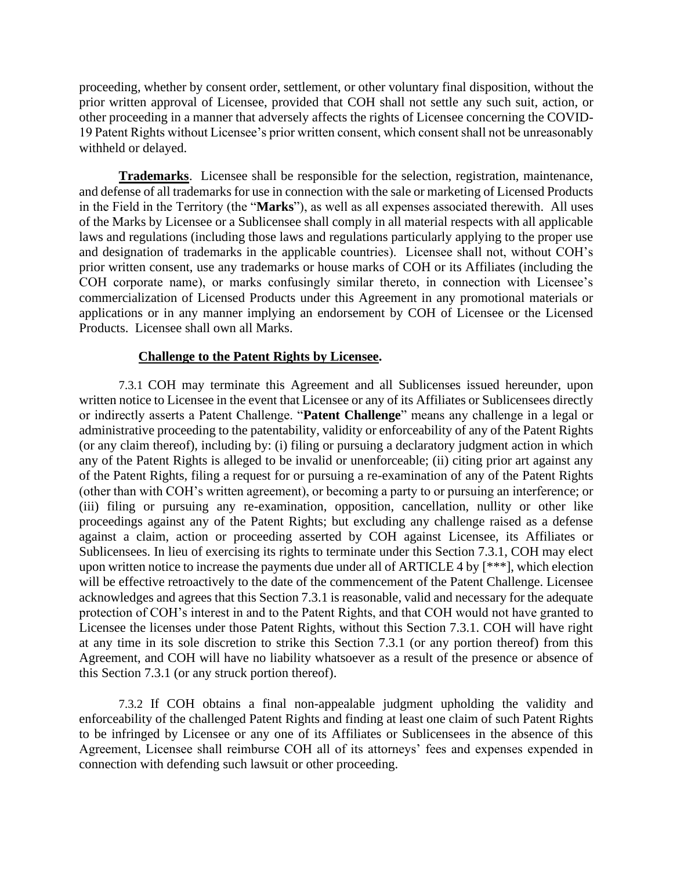proceeding, whether by consent order, settlement, or other voluntary final disposition, without the prior written approval of Licensee, provided that COH shall not settle any such suit, action, or other proceeding in a manner that adversely affects the rights of Licensee concerning the COVID-19 Patent Rights without Licensee's prior written consent, which consent shall not be unreasonably withheld or delayed.

**Trademarks**. Licensee shall be responsible for the selection, registration, maintenance, and defense of all trademarks for use in connection with the sale or marketing of Licensed Products in the Field in the Territory (the "**Marks**"), as well as all expenses associated therewith. All uses of the Marks by Licensee or a Sublicensee shall comply in all material respects with all applicable laws and regulations (including those laws and regulations particularly applying to the proper use and designation of trademarks in the applicable countries). Licensee shall not, without COH's prior written consent, use any trademarks or house marks of COH or its Affiliates (including the COH corporate name), or marks confusingly similar thereto, in connection with Licensee's commercialization of Licensed Products under this Agreement in any promotional materials or applications or in any manner implying an endorsement by COH of Licensee or the Licensed Products. Licensee shall own all Marks.

#### **Challenge to the Patent Rights by Licensee.**

7.3.1 COH may terminate this Agreement and all Sublicenses issued hereunder, upon written notice to Licensee in the event that Licensee or any of its Affiliates or Sublicensees directly or indirectly asserts a Patent Challenge. "**Patent Challenge**" means any challenge in a legal or administrative proceeding to the patentability, validity or enforceability of any of the Patent Rights (or any claim thereof), including by: (i) filing or pursuing a declaratory judgment action in which any of the Patent Rights is alleged to be invalid or unenforceable; (ii) citing prior art against any of the Patent Rights, filing a request for or pursuing a re-examination of any of the Patent Rights (other than with COH's written agreement), or becoming a party to or pursuing an interference; or (iii) filing or pursuing any re-examination, opposition, cancellation, nullity or other like proceedings against any of the Patent Rights; but excluding any challenge raised as a defense against a claim, action or proceeding asserted by COH against Licensee, its Affiliates or Sublicensees. In lieu of exercising its rights to terminate under this Section 7.3.1, COH may elect upon written notice to increase the payments due under all of ARTICLE 4 by [\*\*\*], which election will be effective retroactively to the date of the commencement of the Patent Challenge. Licensee acknowledges and agrees that this Section 7.3.1 is reasonable, valid and necessary for the adequate protection of COH's interest in and to the Patent Rights, and that COH would not have granted to Licensee the licenses under those Patent Rights, without this Section 7.3.1. COH will have right at any time in its sole discretion to strike this Section 7.3.1 (or any portion thereof) from this Agreement, and COH will have no liability whatsoever as a result of the presence or absence of this Section 7.3.1 (or any struck portion thereof).

7.3.2 If COH obtains a final non-appealable judgment upholding the validity and enforceability of the challenged Patent Rights and finding at least one claim of such Patent Rights to be infringed by Licensee or any one of its Affiliates or Sublicensees in the absence of this Agreement, Licensee shall reimburse COH all of its attorneys' fees and expenses expended in connection with defending such lawsuit or other proceeding.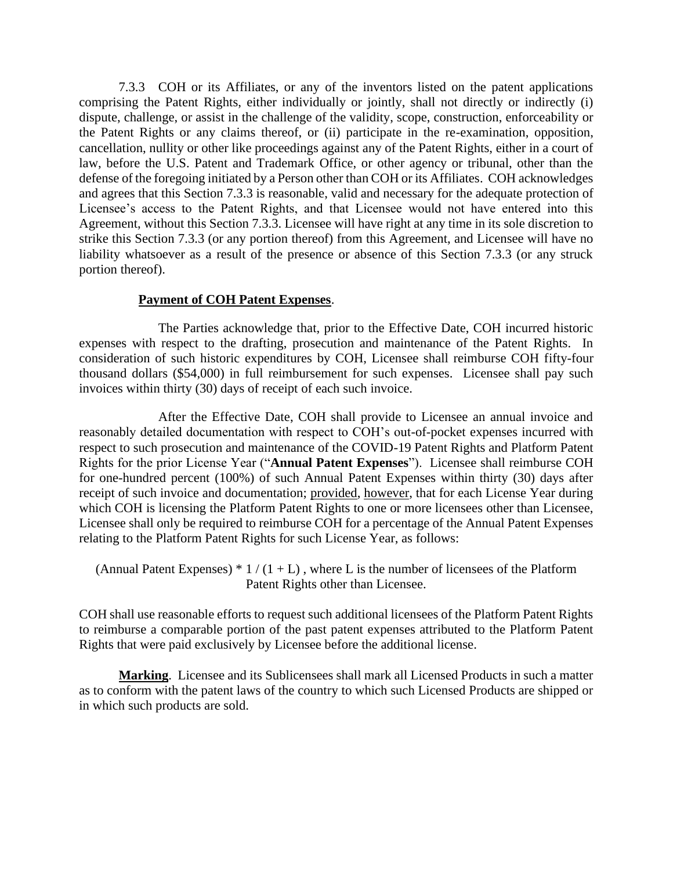7.3.3 COH or its Affiliates, or any of the inventors listed on the patent applications comprising the Patent Rights, either individually or jointly, shall not directly or indirectly (i) dispute, challenge, or assist in the challenge of the validity, scope, construction, enforceability or the Patent Rights or any claims thereof, or (ii) participate in the re-examination, opposition, cancellation, nullity or other like proceedings against any of the Patent Rights, either in a court of law, before the U.S. Patent and Trademark Office, or other agency or tribunal, other than the defense of the foregoing initiated by a Person other than COH or its Affiliates. COH acknowledges and agrees that this Section 7.3.3 is reasonable, valid and necessary for the adequate protection of Licensee's access to the Patent Rights, and that Licensee would not have entered into this Agreement, without this Section 7.3.3. Licensee will have right at any time in its sole discretion to strike this Section 7.3.3 (or any portion thereof) from this Agreement, and Licensee will have no liability whatsoever as a result of the presence or absence of this Section 7.3.3 (or any struck portion thereof).

#### **Payment of COH Patent Expenses**.

The Parties acknowledge that, prior to the Effective Date, COH incurred historic expenses with respect to the drafting, prosecution and maintenance of the Patent Rights. In consideration of such historic expenditures by COH, Licensee shall reimburse COH fifty-four thousand dollars (\$54,000) in full reimbursement for such expenses. Licensee shall pay such invoices within thirty (30) days of receipt of each such invoice.

After the Effective Date, COH shall provide to Licensee an annual invoice and reasonably detailed documentation with respect to COH's out-of-pocket expenses incurred with respect to such prosecution and maintenance of the COVID-19 Patent Rights and Platform Patent Rights for the prior License Year ("**Annual Patent Expenses**"). Licensee shall reimburse COH for one-hundred percent (100%) of such Annual Patent Expenses within thirty (30) days after receipt of such invoice and documentation; provided, however, that for each License Year during which COH is licensing the Platform Patent Rights to one or more licensees other than Licensee, Licensee shall only be required to reimburse COH for a percentage of the Annual Patent Expenses relating to the Platform Patent Rights for such License Year, as follows:

(Annual Patent Expenses)  $* 1/(1+L)$ , where L is the number of licensees of the Platform Patent Rights other than Licensee.

COH shall use reasonable efforts to request such additional licensees of the Platform Patent Rights to reimburse a comparable portion of the past patent expenses attributed to the Platform Patent Rights that were paid exclusively by Licensee before the additional license.

**Marking**. Licensee and its Sublicensees shall mark all Licensed Products in such a matter as to conform with the patent laws of the country to which such Licensed Products are shipped or in which such products are sold.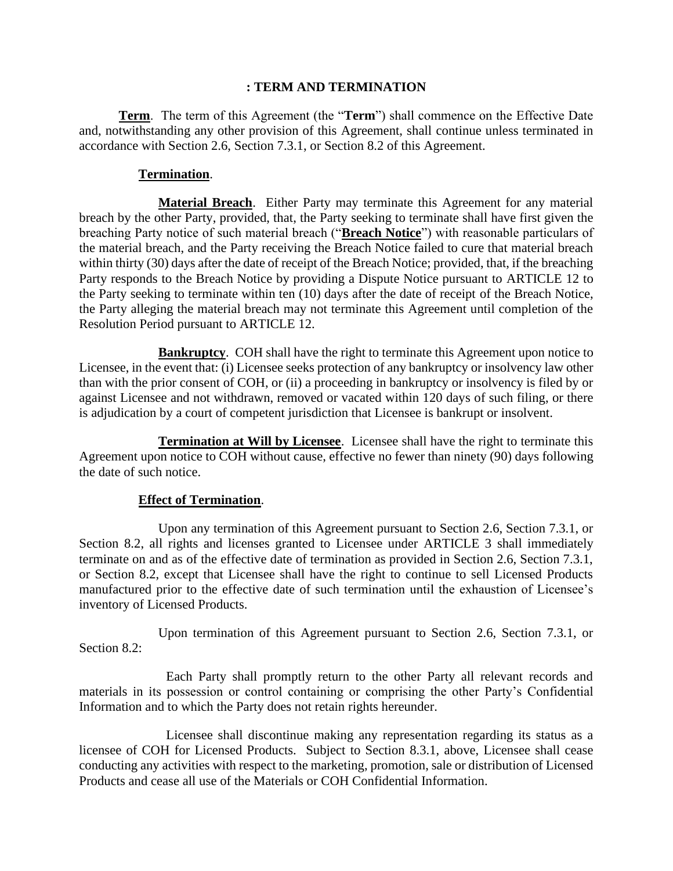### **: TERM AND TERMINATION**

**Term**. The term of this Agreement (the "**Term**") shall commence on the Effective Date and, notwithstanding any other provision of this Agreement, shall continue unless terminated in accordance with Section 2.6, Section 7.3.1, or Section 8.2 of this Agreement.

### **Termination**.

**Material Breach**. Either Party may terminate this Agreement for any material breach by the other Party, provided, that, the Party seeking to terminate shall have first given the breaching Party notice of such material breach ("**Breach Notice**") with reasonable particulars of the material breach, and the Party receiving the Breach Notice failed to cure that material breach within thirty (30) days after the date of receipt of the Breach Notice; provided, that, if the breaching Party responds to the Breach Notice by providing a Dispute Notice pursuant to ARTICLE 12 to the Party seeking to terminate within ten (10) days after the date of receipt of the Breach Notice, the Party alleging the material breach may not terminate this Agreement until completion of the Resolution Period pursuant to ARTICLE 12.

**Bankruptcy**. COH shall have the right to terminate this Agreement upon notice to Licensee, in the event that: (i) Licensee seeks protection of any bankruptcy or insolvency law other than with the prior consent of COH, or (ii) a proceeding in bankruptcy or insolvency is filed by or against Licensee and not withdrawn, removed or vacated within 120 days of such filing, or there is adjudication by a court of competent jurisdiction that Licensee is bankrupt or insolvent.

**Termination at Will by Licensee**. Licensee shall have the right to terminate this Agreement upon notice to COH without cause, effective no fewer than ninety (90) days following the date of such notice.

### **Effect of Termination**.

Upon any termination of this Agreement pursuant to Section 2.6, Section 7.3.1, or Section 8.2, all rights and licenses granted to Licensee under ARTICLE 3 shall immediately terminate on and as of the effective date of termination as provided in Section 2.6, Section 7.3.1, or Section 8.2, except that Licensee shall have the right to continue to sell Licensed Products manufactured prior to the effective date of such termination until the exhaustion of Licensee's inventory of Licensed Products.

Upon termination of this Agreement pursuant to Section 2.6, Section 7.3.1, or Section 8.2:

Each Party shall promptly return to the other Party all relevant records and materials in its possession or control containing or comprising the other Party's Confidential Information and to which the Party does not retain rights hereunder.

Licensee shall discontinue making any representation regarding its status as a licensee of COH for Licensed Products. Subject to Section 8.3.1, above, Licensee shall cease conducting any activities with respect to the marketing, promotion, sale or distribution of Licensed Products and cease all use of the Materials or COH Confidential Information.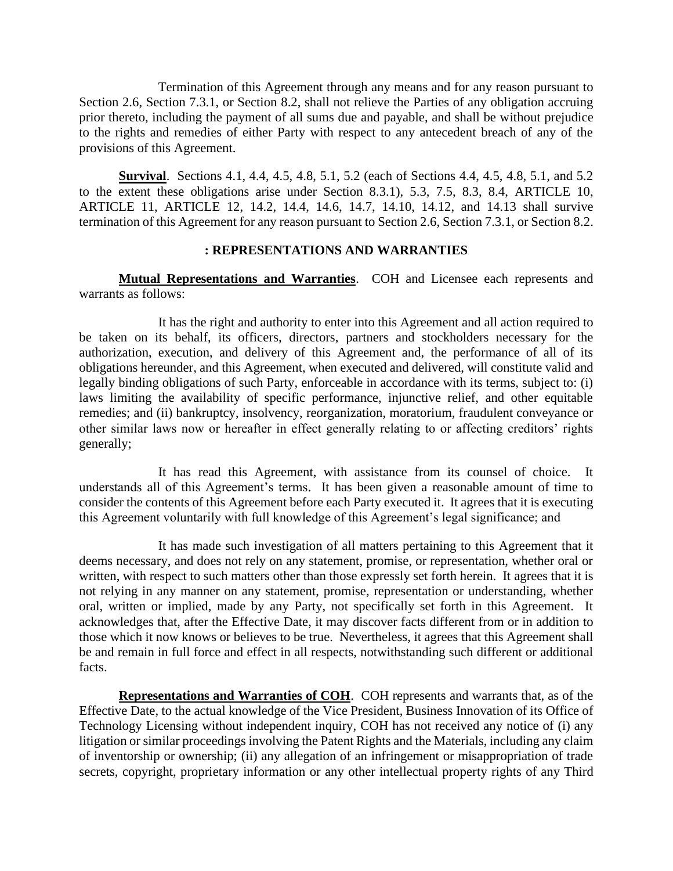Termination of this Agreement through any means and for any reason pursuant to Section 2.6, Section 7.3.1, or Section 8.2, shall not relieve the Parties of any obligation accruing prior thereto, including the payment of all sums due and payable, and shall be without prejudice to the rights and remedies of either Party with respect to any antecedent breach of any of the provisions of this Agreement.

**Survival**. Sections 4.1, 4.4, 4.5, 4.8, 5.1, 5.2 (each of Sections 4.4, 4.5, 4.8, 5.1, and 5.2 to the extent these obligations arise under Section 8.3.1), 5.3, 7.5, 8.3, 8.4, ARTICLE 10, ARTICLE 11, ARTICLE 12, 14.2, 14.4, 14.6, 14.7, 14.10, 14.12, and 14.13 shall survive termination of this Agreement for any reason pursuant to Section 2.6, Section 7.3.1, or Section 8.2.

#### **: REPRESENTATIONS AND WARRANTIES**

**Mutual Representations and Warranties**. COH and Licensee each represents and warrants as follows:

It has the right and authority to enter into this Agreement and all action required to be taken on its behalf, its officers, directors, partners and stockholders necessary for the authorization, execution, and delivery of this Agreement and, the performance of all of its obligations hereunder, and this Agreement, when executed and delivered, will constitute valid and legally binding obligations of such Party, enforceable in accordance with its terms, subject to: (i) laws limiting the availability of specific performance, injunctive relief, and other equitable remedies; and (ii) bankruptcy, insolvency, reorganization, moratorium, fraudulent conveyance or other similar laws now or hereafter in effect generally relating to or affecting creditors' rights generally;

It has read this Agreement, with assistance from its counsel of choice. It understands all of this Agreement's terms. It has been given a reasonable amount of time to consider the contents of this Agreement before each Party executed it. It agrees that it is executing this Agreement voluntarily with full knowledge of this Agreement's legal significance; and

It has made such investigation of all matters pertaining to this Agreement that it deems necessary, and does not rely on any statement, promise, or representation, whether oral or written, with respect to such matters other than those expressly set forth herein. It agrees that it is not relying in any manner on any statement, promise, representation or understanding, whether oral, written or implied, made by any Party, not specifically set forth in this Agreement. It acknowledges that, after the Effective Date, it may discover facts different from or in addition to those which it now knows or believes to be true. Nevertheless, it agrees that this Agreement shall be and remain in full force and effect in all respects, notwithstanding such different or additional facts.

**Representations and Warranties of COH**. COH represents and warrants that, as of the Effective Date, to the actual knowledge of the Vice President, Business Innovation of its Office of Technology Licensing without independent inquiry, COH has not received any notice of (i) any litigation or similar proceedings involving the Patent Rights and the Materials, including any claim of inventorship or ownership; (ii) any allegation of an infringement or misappropriation of trade secrets, copyright, proprietary information or any other intellectual property rights of any Third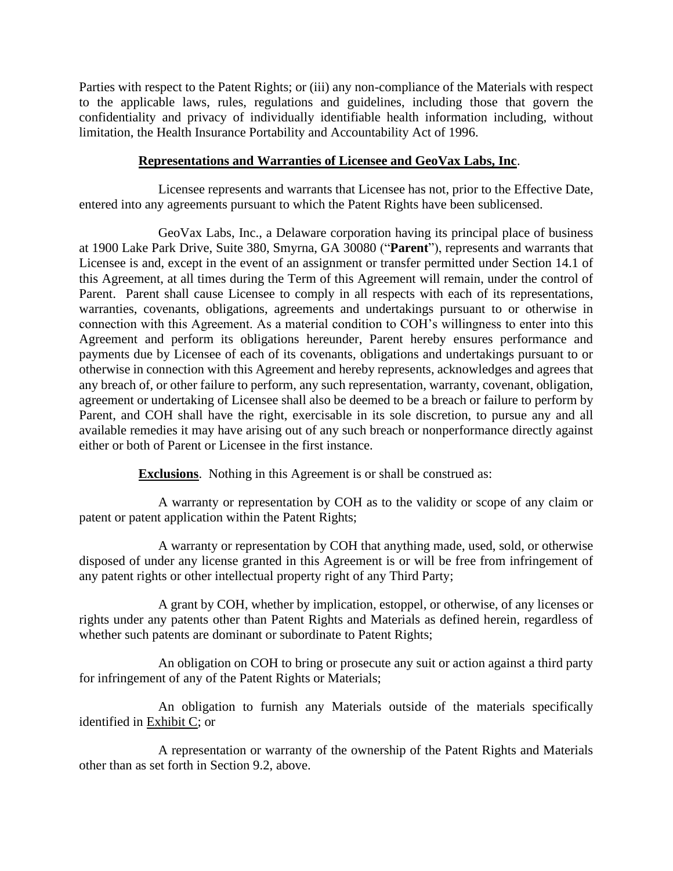Parties with respect to the Patent Rights; or (iii) any non-compliance of the Materials with respect to the applicable laws, rules, regulations and guidelines, including those that govern the confidentiality and privacy of individually identifiable health information including, without limitation, the Health Insurance Portability and Accountability Act of 1996.

## **Representations and Warranties of Licensee and GeoVax Labs, Inc**.

Licensee represents and warrants that Licensee has not, prior to the Effective Date, entered into any agreements pursuant to which the Patent Rights have been sublicensed.

GeoVax Labs, Inc., a Delaware corporation having its principal place of business at 1900 Lake Park Drive, Suite 380, Smyrna, GA 30080 ("**Parent**"), represents and warrants that Licensee is and, except in the event of an assignment or transfer permitted under Section 14.1 of this Agreement, at all times during the Term of this Agreement will remain, under the control of Parent. Parent shall cause Licensee to comply in all respects with each of its representations, warranties, covenants, obligations, agreements and undertakings pursuant to or otherwise in connection with this Agreement. As a material condition to COH's willingness to enter into this Agreement and perform its obligations hereunder, Parent hereby ensures performance and payments due by Licensee of each of its covenants, obligations and undertakings pursuant to or otherwise in connection with this Agreement and hereby represents, acknowledges and agrees that any breach of, or other failure to perform, any such representation, warranty, covenant, obligation, agreement or undertaking of Licensee shall also be deemed to be a breach or failure to perform by Parent, and COH shall have the right, exercisable in its sole discretion, to pursue any and all available remedies it may have arising out of any such breach or nonperformance directly against either or both of Parent or Licensee in the first instance.

**Exclusions**. Nothing in this Agreement is or shall be construed as:

A warranty or representation by COH as to the validity or scope of any claim or patent or patent application within the Patent Rights;

A warranty or representation by COH that anything made, used, sold, or otherwise disposed of under any license granted in this Agreement is or will be free from infringement of any patent rights or other intellectual property right of any Third Party;

A grant by COH, whether by implication, estoppel, or otherwise, of any licenses or rights under any patents other than Patent Rights and Materials as defined herein, regardless of whether such patents are dominant or subordinate to Patent Rights;

An obligation on COH to bring or prosecute any suit or action against a third party for infringement of any of the Patent Rights or Materials;

An obligation to furnish any Materials outside of the materials specifically identified in Exhibit C; or

A representation or warranty of the ownership of the Patent Rights and Materials other than as set forth in Section 9.2, above.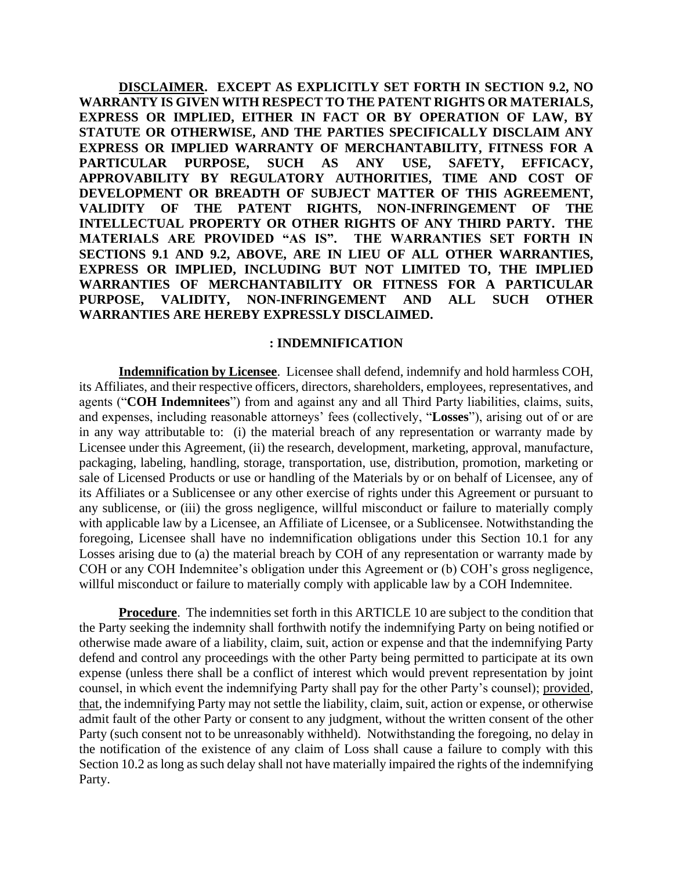**DISCLAIMER. EXCEPT AS EXPLICITLY SET FORTH IN SECTION 9.2, NO WARRANTY IS GIVEN WITH RESPECT TO THE PATENT RIGHTS OR MATERIALS, EXPRESS OR IMPLIED, EITHER IN FACT OR BY OPERATION OF LAW, BY STATUTE OR OTHERWISE, AND THE PARTIES SPECIFICALLY DISCLAIM ANY EXPRESS OR IMPLIED WARRANTY OF MERCHANTABILITY, FITNESS FOR A PARTICULAR PURPOSE, SUCH AS ANY USE, SAFETY, EFFICACY, APPROVABILITY BY REGULATORY AUTHORITIES, TIME AND COST OF DEVELOPMENT OR BREADTH OF SUBJECT MATTER OF THIS AGREEMENT, VALIDITY OF THE PATENT RIGHTS, NON-INFRINGEMENT OF THE INTELLECTUAL PROPERTY OR OTHER RIGHTS OF ANY THIRD PARTY. THE MATERIALS ARE PROVIDED "AS IS". THE WARRANTIES SET FORTH IN SECTIONS 9.1 AND 9.2, ABOVE, ARE IN LIEU OF ALL OTHER WARRANTIES, EXPRESS OR IMPLIED, INCLUDING BUT NOT LIMITED TO, THE IMPLIED WARRANTIES OF MERCHANTABILITY OR FITNESS FOR A PARTICULAR PURPOSE, VALIDITY, NON-INFRINGEMENT AND ALL SUCH OTHER WARRANTIES ARE HEREBY EXPRESSLY DISCLAIMED.**

#### **: INDEMNIFICATION**

**Indemnification by Licensee**. Licensee shall defend, indemnify and hold harmless COH, its Affiliates, and their respective officers, directors, shareholders, employees, representatives, and agents ("**COH Indemnitees**") from and against any and all Third Party liabilities, claims, suits, and expenses, including reasonable attorneys' fees (collectively, "**Losses**"), arising out of or are in any way attributable to: (i) the material breach of any representation or warranty made by Licensee under this Agreement, (ii) the research, development, marketing, approval, manufacture, packaging, labeling, handling, storage, transportation, use, distribution, promotion, marketing or sale of Licensed Products or use or handling of the Materials by or on behalf of Licensee, any of its Affiliates or a Sublicensee or any other exercise of rights under this Agreement or pursuant to any sublicense, or (iii) the gross negligence, willful misconduct or failure to materially comply with applicable law by a Licensee, an Affiliate of Licensee, or a Sublicensee. Notwithstanding the foregoing, Licensee shall have no indemnification obligations under this Section 10.1 for any Losses arising due to (a) the material breach by COH of any representation or warranty made by COH or any COH Indemnitee's obligation under this Agreement or (b) COH's gross negligence, willful misconduct or failure to materially comply with applicable law by a COH Indemnitee.

**Procedure**. The indemnities set forth in this ARTICLE 10 are subject to the condition that the Party seeking the indemnity shall forthwith notify the indemnifying Party on being notified or otherwise made aware of a liability, claim, suit, action or expense and that the indemnifying Party defend and control any proceedings with the other Party being permitted to participate at its own expense (unless there shall be a conflict of interest which would prevent representation by joint counsel, in which event the indemnifying Party shall pay for the other Party's counsel); provided, that, the indemnifying Party may not settle the liability, claim, suit, action or expense, or otherwise admit fault of the other Party or consent to any judgment, without the written consent of the other Party (such consent not to be unreasonably withheld). Notwithstanding the foregoing, no delay in the notification of the existence of any claim of Loss shall cause a failure to comply with this Section 10.2 as long as such delay shall not have materially impaired the rights of the indemnifying Party.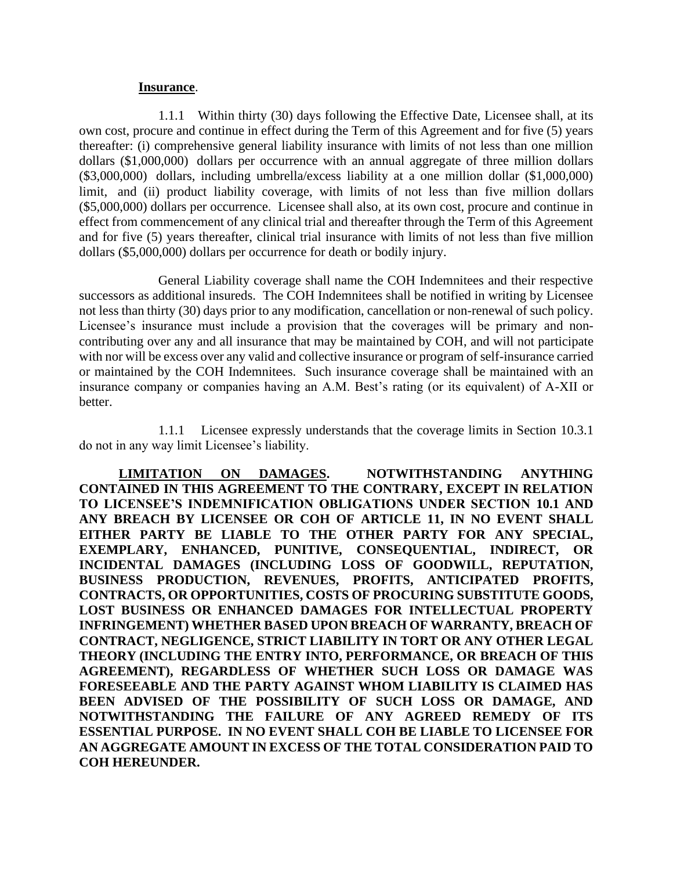#### **Insurance**.

1.1.1 Within thirty (30) days following the Effective Date, Licensee shall, at its own cost, procure and continue in effect during the Term of this Agreement and for five (5) years thereafter: (i) comprehensive general liability insurance with limits of not less than one million dollars (\$1,000,000) dollars per occurrence with an annual aggregate of three million dollars (\$3,000,000) dollars, including umbrella/excess liability at a one million dollar (\$1,000,000) limit, and (ii) product liability coverage, with limits of not less than five million dollars (\$5,000,000) dollars per occurrence. Licensee shall also, at its own cost, procure and continue in effect from commencement of any clinical trial and thereafter through the Term of this Agreement and for five (5) years thereafter, clinical trial insurance with limits of not less than five million dollars (\$5,000,000) dollars per occurrence for death or bodily injury.

General Liability coverage shall name the COH Indemnitees and their respective successors as additional insureds. The COH Indemnitees shall be notified in writing by Licensee not less than thirty (30) days prior to any modification, cancellation or non-renewal of such policy. Licensee's insurance must include a provision that the coverages will be primary and noncontributing over any and all insurance that may be maintained by COH, and will not participate with nor will be excess over any valid and collective insurance or program of self-insurance carried or maintained by the COH Indemnitees. Such insurance coverage shall be maintained with an insurance company or companies having an A.M. Best's rating (or its equivalent) of A-XII or better.

1.1.1 Licensee expressly understands that the coverage limits in Section 10.3.1 do not in any way limit Licensee's liability.

**LIMITATION ON DAMAGES. NOTWITHSTANDING ANYTHING CONTAINED IN THIS AGREEMENT TO THE CONTRARY, EXCEPT IN RELATION TO LICENSEE'S INDEMNIFICATION OBLIGATIONS UNDER SECTION 10.1 AND ANY BREACH BY LICENSEE OR COH OF ARTICLE 11, IN NO EVENT SHALL EITHER PARTY BE LIABLE TO THE OTHER PARTY FOR ANY SPECIAL, EXEMPLARY, ENHANCED, PUNITIVE, CONSEQUENTIAL, INDIRECT, OR INCIDENTAL DAMAGES (INCLUDING LOSS OF GOODWILL, REPUTATION, BUSINESS PRODUCTION, REVENUES, PROFITS, ANTICIPATED PROFITS, CONTRACTS, OR OPPORTUNITIES, COSTS OF PROCURING SUBSTITUTE GOODS, LOST BUSINESS OR ENHANCED DAMAGES FOR INTELLECTUAL PROPERTY INFRINGEMENT) WHETHER BASED UPON BREACH OF WARRANTY, BREACH OF CONTRACT, NEGLIGENCE, STRICT LIABILITY IN TORT OR ANY OTHER LEGAL THEORY (INCLUDING THE ENTRY INTO, PERFORMANCE, OR BREACH OF THIS AGREEMENT), REGARDLESS OF WHETHER SUCH LOSS OR DAMAGE WAS FORESEEABLE AND THE PARTY AGAINST WHOM LIABILITY IS CLAIMED HAS BEEN ADVISED OF THE POSSIBILITY OF SUCH LOSS OR DAMAGE, AND NOTWITHSTANDING THE FAILURE OF ANY AGREED REMEDY OF ITS ESSENTIAL PURPOSE. IN NO EVENT SHALL COH BE LIABLE TO LICENSEE FOR AN AGGREGATE AMOUNT IN EXCESS OF THE TOTAL CONSIDERATION PAID TO COH HEREUNDER.**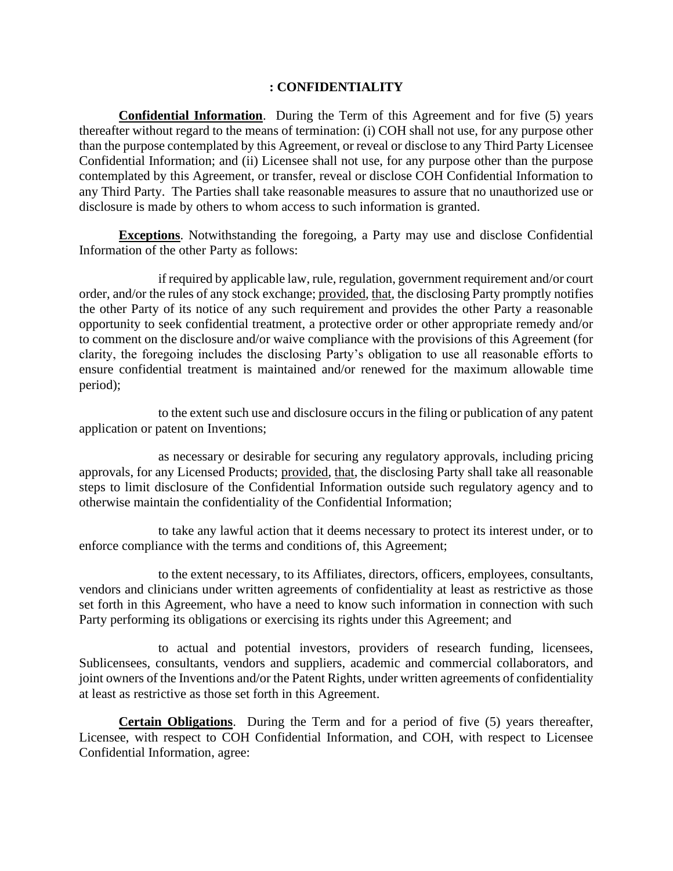#### **: CONFIDENTIALITY**

**Confidential Information**. During the Term of this Agreement and for five (5) years thereafter without regard to the means of termination: (i) COH shall not use, for any purpose other than the purpose contemplated by this Agreement, or reveal or disclose to any Third Party Licensee Confidential Information; and (ii) Licensee shall not use, for any purpose other than the purpose contemplated by this Agreement, or transfer, reveal or disclose COH Confidential Information to any Third Party. The Parties shall take reasonable measures to assure that no unauthorized use or disclosure is made by others to whom access to such information is granted.

**Exceptions**. Notwithstanding the foregoing, a Party may use and disclose Confidential Information of the other Party as follows:

if required by applicable law, rule, regulation, government requirement and/or court order, and/or the rules of any stock exchange; provided, that, the disclosing Party promptly notifies the other Party of its notice of any such requirement and provides the other Party a reasonable opportunity to seek confidential treatment, a protective order or other appropriate remedy and/or to comment on the disclosure and/or waive compliance with the provisions of this Agreement (for clarity, the foregoing includes the disclosing Party's obligation to use all reasonable efforts to ensure confidential treatment is maintained and/or renewed for the maximum allowable time period);

to the extent such use and disclosure occurs in the filing or publication of any patent application or patent on Inventions;

as necessary or desirable for securing any regulatory approvals, including pricing approvals, for any Licensed Products; provided, that, the disclosing Party shall take all reasonable steps to limit disclosure of the Confidential Information outside such regulatory agency and to otherwise maintain the confidentiality of the Confidential Information;

to take any lawful action that it deems necessary to protect its interest under, or to enforce compliance with the terms and conditions of, this Agreement;

to the extent necessary, to its Affiliates, directors, officers, employees, consultants, vendors and clinicians under written agreements of confidentiality at least as restrictive as those set forth in this Agreement, who have a need to know such information in connection with such Party performing its obligations or exercising its rights under this Agreement; and

to actual and potential investors, providers of research funding, licensees, Sublicensees, consultants, vendors and suppliers, academic and commercial collaborators, and joint owners of the Inventions and/or the Patent Rights, under written agreements of confidentiality at least as restrictive as those set forth in this Agreement.

**Certain Obligations**. During the Term and for a period of five (5) years thereafter, Licensee, with respect to COH Confidential Information, and COH, with respect to Licensee Confidential Information, agree: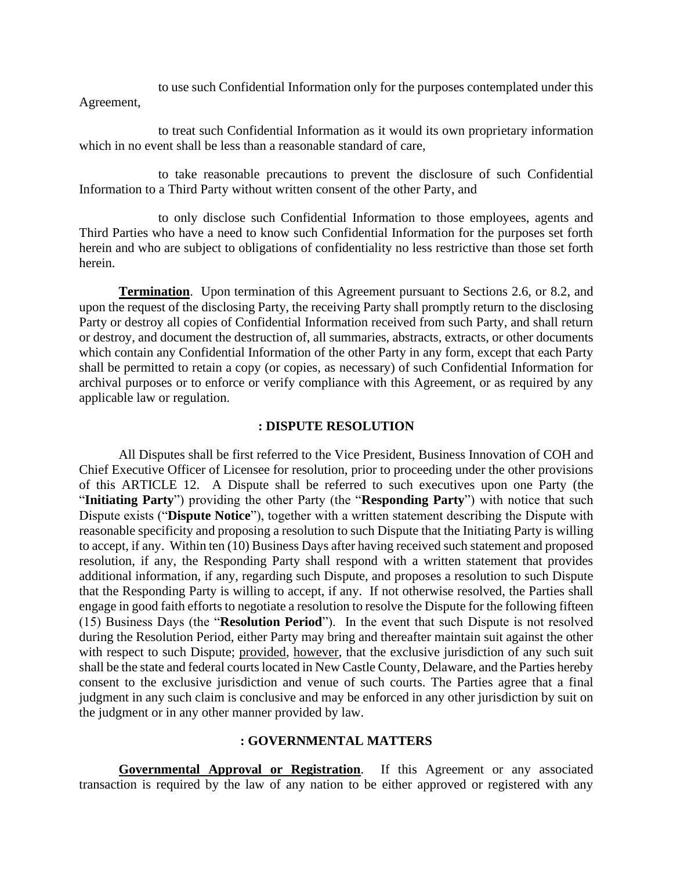to use such Confidential Information only for the purposes contemplated under this Agreement,

to treat such Confidential Information as it would its own proprietary information which in no event shall be less than a reasonable standard of care.

to take reasonable precautions to prevent the disclosure of such Confidential Information to a Third Party without written consent of the other Party, and

to only disclose such Confidential Information to those employees, agents and Third Parties who have a need to know such Confidential Information for the purposes set forth herein and who are subject to obligations of confidentiality no less restrictive than those set forth herein.

**Termination**. Upon termination of this Agreement pursuant to Sections 2.6, or 8.2, and upon the request of the disclosing Party, the receiving Party shall promptly return to the disclosing Party or destroy all copies of Confidential Information received from such Party, and shall return or destroy, and document the destruction of, all summaries, abstracts, extracts, or other documents which contain any Confidential Information of the other Party in any form, except that each Party shall be permitted to retain a copy (or copies, as necessary) of such Confidential Information for archival purposes or to enforce or verify compliance with this Agreement, or as required by any applicable law or regulation.

#### **: DISPUTE RESOLUTION**

All Disputes shall be first referred to the Vice President, Business Innovation of COH and Chief Executive Officer of Licensee for resolution, prior to proceeding under the other provisions of this ARTICLE 12. A Dispute shall be referred to such executives upon one Party (the "**Initiating Party**") providing the other Party (the "**Responding Party**") with notice that such Dispute exists ("**Dispute Notice**"), together with a written statement describing the Dispute with reasonable specificity and proposing a resolution to such Dispute that the Initiating Party is willing to accept, if any. Within ten (10) Business Days after having received such statement and proposed resolution, if any, the Responding Party shall respond with a written statement that provides additional information, if any, regarding such Dispute, and proposes a resolution to such Dispute that the Responding Party is willing to accept, if any. If not otherwise resolved, the Parties shall engage in good faith efforts to negotiate a resolution to resolve the Dispute for the following fifteen (15) Business Days (the "**Resolution Period**"). In the event that such Dispute is not resolved during the Resolution Period, either Party may bring and thereafter maintain suit against the other with respect to such Dispute; provided, however, that the exclusive jurisdiction of any such suit shall be the state and federal courts located in New Castle County, Delaware, and the Parties hereby consent to the exclusive jurisdiction and venue of such courts. The Parties agree that a final judgment in any such claim is conclusive and may be enforced in any other jurisdiction by suit on the judgment or in any other manner provided by law.

#### **: GOVERNMENTAL MATTERS**

**Governmental Approval or Registration**. If this Agreement or any associated transaction is required by the law of any nation to be either approved or registered with any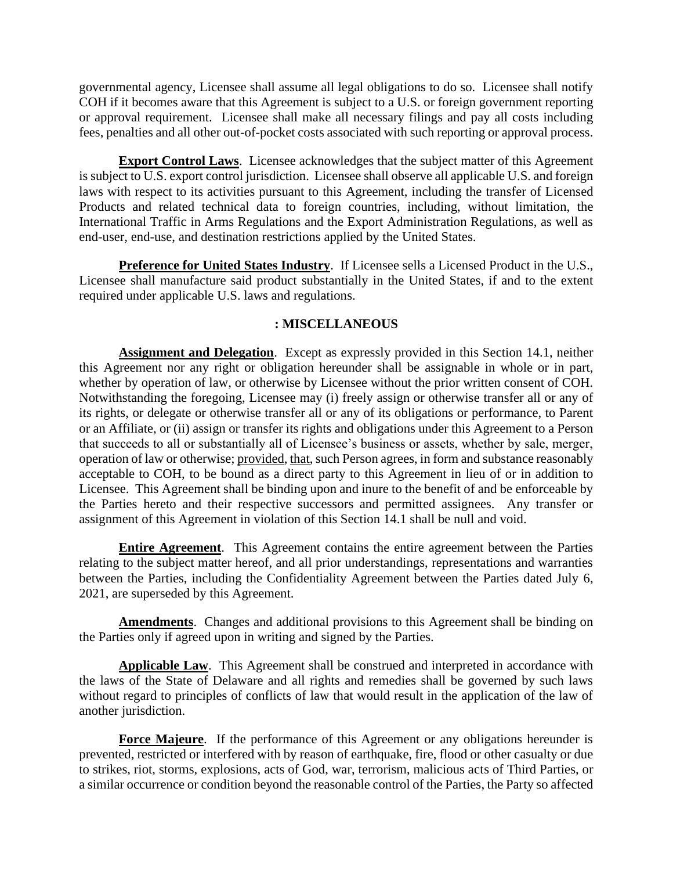governmental agency, Licensee shall assume all legal obligations to do so. Licensee shall notify COH if it becomes aware that this Agreement is subject to a U.S. or foreign government reporting or approval requirement. Licensee shall make all necessary filings and pay all costs including fees, penalties and all other out-of-pocket costs associated with such reporting or approval process.

**Export Control Laws**. Licensee acknowledges that the subject matter of this Agreement is subject to U.S. export control jurisdiction. Licensee shall observe all applicable U.S. and foreign laws with respect to its activities pursuant to this Agreement, including the transfer of Licensed Products and related technical data to foreign countries, including, without limitation, the International Traffic in Arms Regulations and the Export Administration Regulations, as well as end-user, end-use, and destination restrictions applied by the United States.

**Preference for United States Industry**. If Licensee sells a Licensed Product in the U.S., Licensee shall manufacture said product substantially in the United States, if and to the extent required under applicable U.S. laws and regulations.

### **: MISCELLANEOUS**

**Assignment and Delegation**. Except as expressly provided in this Section 14.1, neither this Agreement nor any right or obligation hereunder shall be assignable in whole or in part, whether by operation of law, or otherwise by Licensee without the prior written consent of COH. Notwithstanding the foregoing, Licensee may (i) freely assign or otherwise transfer all or any of its rights, or delegate or otherwise transfer all or any of its obligations or performance, to Parent or an Affiliate, or (ii) assign or transfer its rights and obligations under this Agreement to a Person that succeeds to all or substantially all of Licensee's business or assets, whether by sale, merger, operation of law or otherwise; provided, that, such Person agrees, in form and substance reasonably acceptable to COH, to be bound as a direct party to this Agreement in lieu of or in addition to Licensee. This Agreement shall be binding upon and inure to the benefit of and be enforceable by the Parties hereto and their respective successors and permitted assignees. Any transfer or assignment of this Agreement in violation of this Section 14.1 shall be null and void.

**Entire Agreement**. This Agreement contains the entire agreement between the Parties relating to the subject matter hereof, and all prior understandings, representations and warranties between the Parties, including the Confidentiality Agreement between the Parties dated July 6, 2021, are superseded by this Agreement.

**Amendments**. Changes and additional provisions to this Agreement shall be binding on the Parties only if agreed upon in writing and signed by the Parties.

Applicable Law. This Agreement shall be construed and interpreted in accordance with the laws of the State of Delaware and all rights and remedies shall be governed by such laws without regard to principles of conflicts of law that would result in the application of the law of another jurisdiction.

**Force Majeure**. If the performance of this Agreement or any obligations hereunder is prevented, restricted or interfered with by reason of earthquake, fire, flood or other casualty or due to strikes, riot, storms, explosions, acts of God, war, terrorism, malicious acts of Third Parties, or a similar occurrence or condition beyond the reasonable control of the Parties, the Party so affected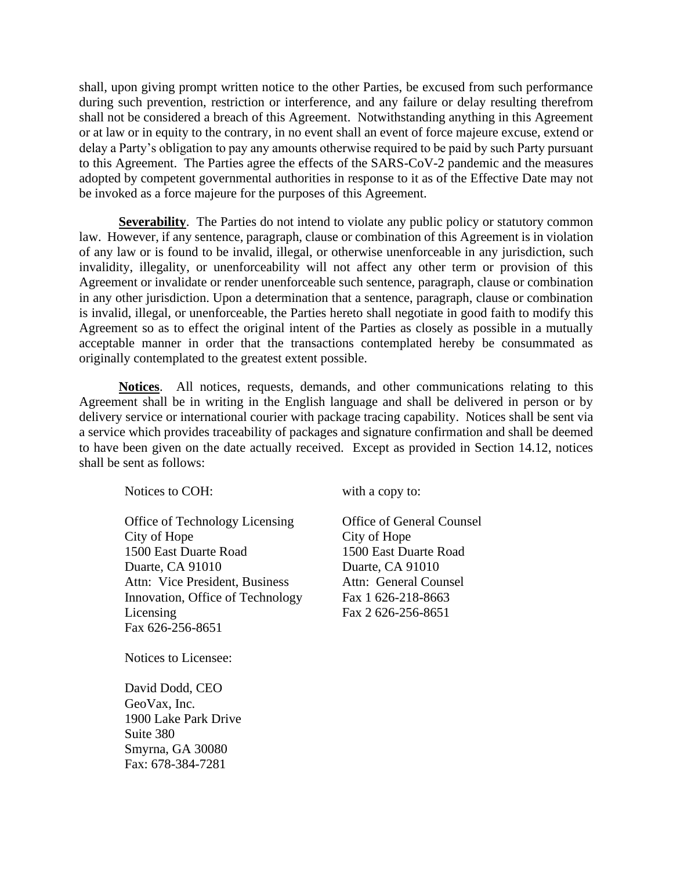shall, upon giving prompt written notice to the other Parties, be excused from such performance during such prevention, restriction or interference, and any failure or delay resulting therefrom shall not be considered a breach of this Agreement. Notwithstanding anything in this Agreement or at law or in equity to the contrary, in no event shall an event of force majeure excuse, extend or delay a Party's obligation to pay any amounts otherwise required to be paid by such Party pursuant to this Agreement. The Parties agree the effects of the SARS-CoV-2 pandemic and the measures adopted by competent governmental authorities in response to it as of the Effective Date may not be invoked as a force majeure for the purposes of this Agreement.

**Severability**. The Parties do not intend to violate any public policy or statutory common law. However, if any sentence, paragraph, clause or combination of this Agreement is in violation of any law or is found to be invalid, illegal, or otherwise unenforceable in any jurisdiction, such invalidity, illegality, or unenforceability will not affect any other term or provision of this Agreement or invalidate or render unenforceable such sentence, paragraph, clause or combination in any other jurisdiction. Upon a determination that a sentence, paragraph, clause or combination is invalid, illegal, or unenforceable, the Parties hereto shall negotiate in good faith to modify this Agreement so as to effect the original intent of the Parties as closely as possible in a mutually acceptable manner in order that the transactions contemplated hereby be consummated as originally contemplated to the greatest extent possible.

**Notices**. All notices, requests, demands, and other communications relating to this Agreement shall be in writing in the English language and shall be delivered in person or by delivery service or international courier with package tracing capability. Notices shall be sent via a service which provides traceability of packages and signature confirmation and shall be deemed to have been given on the date actually received. Except as provided in Section 14.12, notices shall be sent as follows:

Notices to COH:

Office of Technology Licensing City of Hope 1500 East Duarte Road Duarte, CA 91010 Attn: Vice President, Business Innovation, Office of Technology Licensing Fax 626-256-8651

with a copy to:

Office of General Counsel City of Hope 1500 East Duarte Road Duarte, CA 91010 Attn: General Counsel Fax 1 626-218-8663 Fax 2 626-256-8651

Notices to Licensee:

David Dodd, CEO GeoVax, Inc. 1900 Lake Park Drive Suite 380 Smyrna, GA 30080 Fax: 678-384-7281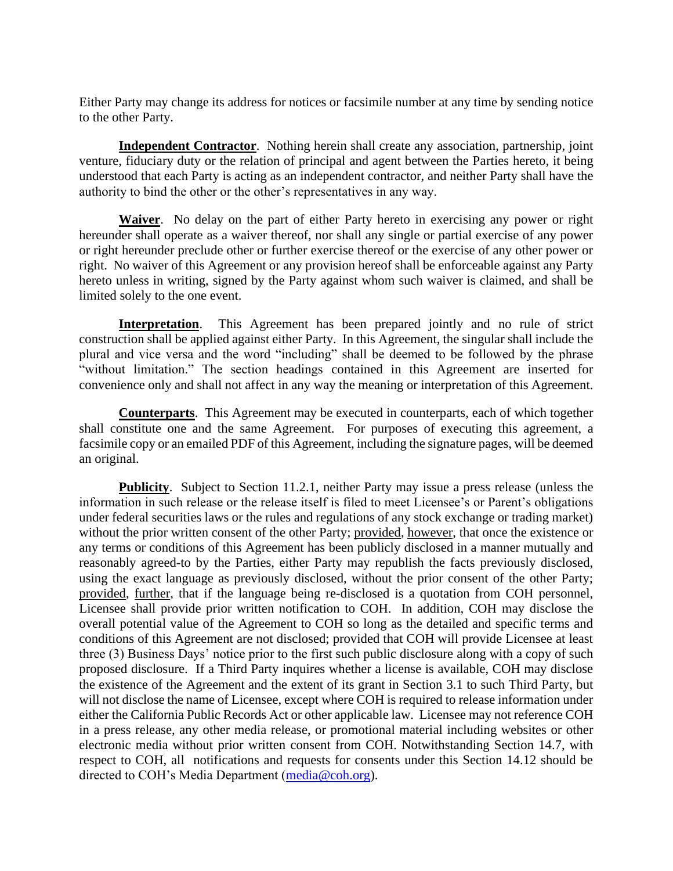Either Party may change its address for notices or facsimile number at any time by sending notice to the other Party.

**Independent Contractor**. Nothing herein shall create any association, partnership, joint venture, fiduciary duty or the relation of principal and agent between the Parties hereto, it being understood that each Party is acting as an independent contractor, and neither Party shall have the authority to bind the other or the other's representatives in any way.

**Waiver**. No delay on the part of either Party hereto in exercising any power or right hereunder shall operate as a waiver thereof, nor shall any single or partial exercise of any power or right hereunder preclude other or further exercise thereof or the exercise of any other power or right. No waiver of this Agreement or any provision hereof shall be enforceable against any Party hereto unless in writing, signed by the Party against whom such waiver is claimed, and shall be limited solely to the one event.

**Interpretation**. This Agreement has been prepared jointly and no rule of strict construction shall be applied against either Party. In this Agreement, the singular shall include the plural and vice versa and the word "including" shall be deemed to be followed by the phrase "without limitation." The section headings contained in this Agreement are inserted for convenience only and shall not affect in any way the meaning or interpretation of this Agreement.

**Counterparts**. This Agreement may be executed in counterparts, each of which together shall constitute one and the same Agreement. For purposes of executing this agreement, a facsimile copy or an emailed PDF of this Agreement, including the signature pages, will be deemed an original.

**Publicity**. Subject to Section 11.2.1, neither Party may issue a press release (unless the information in such release or the release itself is filed to meet Licensee's or Parent's obligations under federal securities laws or the rules and regulations of any stock exchange or trading market) without the prior written consent of the other Party; provided, however, that once the existence or any terms or conditions of this Agreement has been publicly disclosed in a manner mutually and reasonably agreed-to by the Parties, either Party may republish the facts previously disclosed, using the exact language as previously disclosed, without the prior consent of the other Party; provided, further, that if the language being re-disclosed is a quotation from COH personnel, Licensee shall provide prior written notification to COH. In addition, COH may disclose the overall potential value of the Agreement to COH so long as the detailed and specific terms and conditions of this Agreement are not disclosed; provided that COH will provide Licensee at least three (3) Business Days' notice prior to the first such public disclosure along with a copy of such proposed disclosure. If a Third Party inquires whether a license is available, COH may disclose the existence of the Agreement and the extent of its grant in Section 3.1 to such Third Party, but will not disclose the name of Licensee, except where COH is required to release information under either the California Public Records Act or other applicable law. Licensee may not reference COH in a press release, any other media release, or promotional material including websites or other electronic media without prior written consent from COH. Notwithstanding Section 14.7, with respect to COH, all notifications and requests for consents under this Section 14.12 should be directed to COH's Media Department [\(media@coh.org\)](mailto:media@coh.org).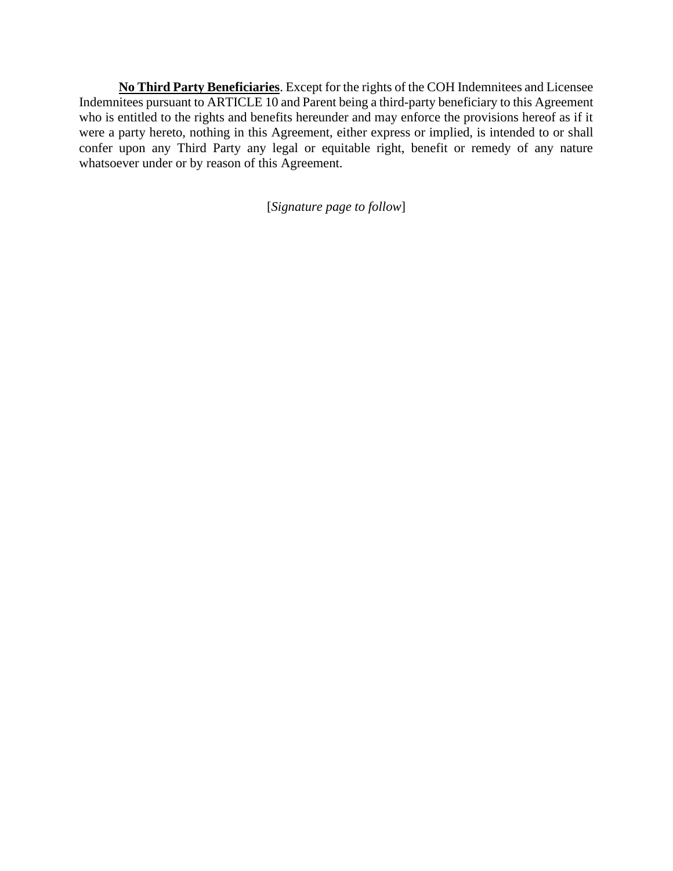**No Third Party Beneficiaries**. Except for the rights of the COH Indemnitees and Licensee Indemnitees pursuant to ARTICLE 10 and Parent being a third-party beneficiary to this Agreement who is entitled to the rights and benefits hereunder and may enforce the provisions hereof as if it were a party hereto, nothing in this Agreement, either express or implied, is intended to or shall confer upon any Third Party any legal or equitable right, benefit or remedy of any nature whatsoever under or by reason of this Agreement.

[*Signature page to follow*]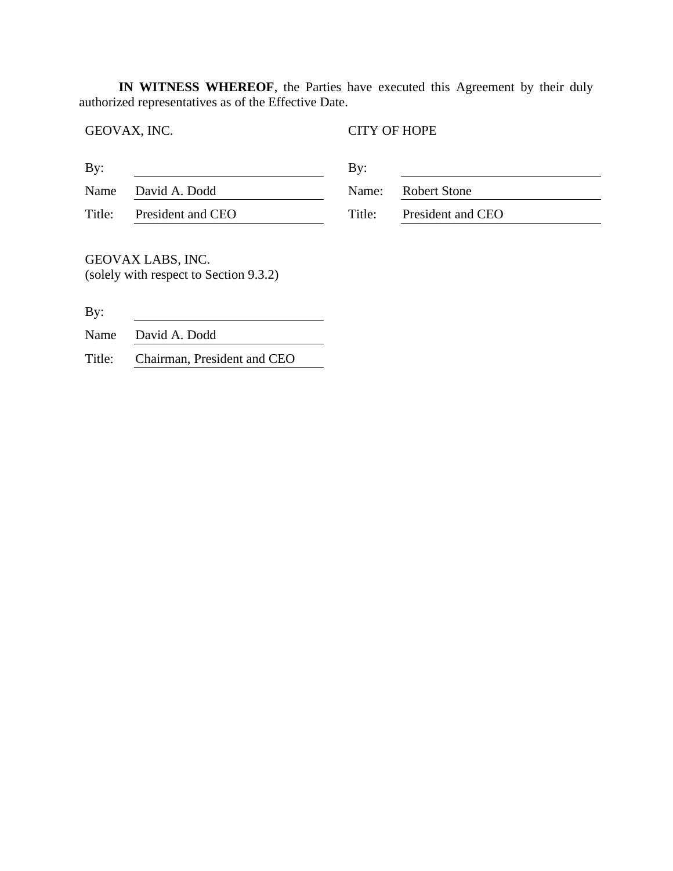**IN WITNESS WHEREOF**, the Parties have executed this Agreement by their duly authorized representatives as of the Effective Date.

GEOVAX, INC. CITY OF HOPE

| By:    |                   | $\mathbf{By:}$ |                    |
|--------|-------------------|----------------|--------------------|
| Name   | David A. Dodd     |                | Name: Robert Stone |
| Title: | President and CEO | Title:         | President and CEO  |

GEOVAX LABS, INC. (solely with respect to Section 9.3.2)

By:

Name David A. Dodd

Title: Chairman, President and CEO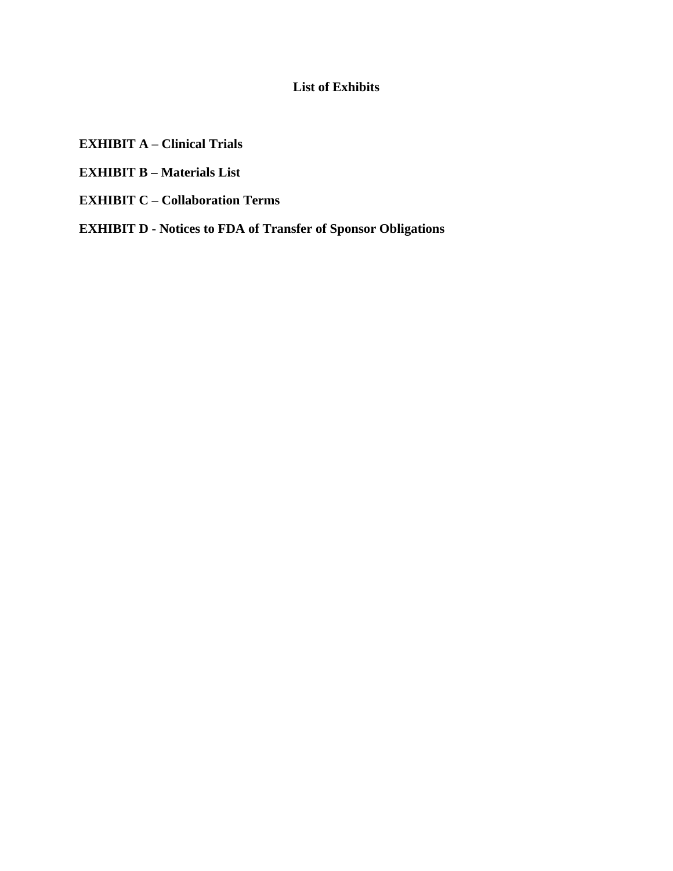## **List of Exhibits**

- **EXHIBIT A – Clinical Trials**
- **EXHIBIT B – Materials List**
- **EXHIBIT C – Collaboration Terms**
- **EXHIBIT D - Notices to FDA of Transfer of Sponsor Obligations**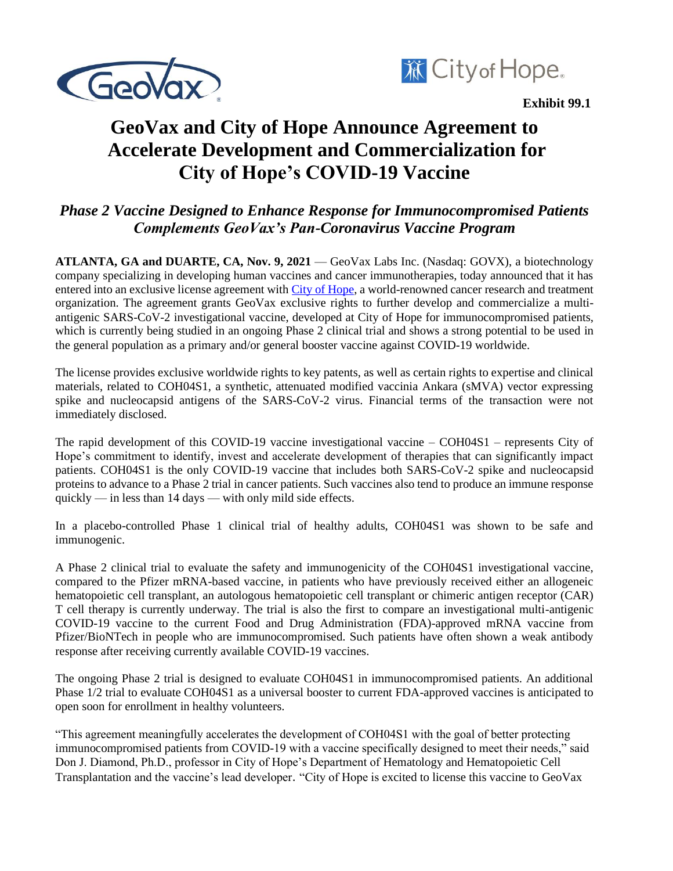



# **GeoVax and City of Hope Announce Agreement to Accelerate Development and Commercialization for City of Hope's COVID-19 Vaccine**

## *Phase 2 Vaccine Designed to Enhance Response for Immunocompromised Patients Complements GeoVax's Pan-Coronavirus Vaccine Program*

**ATLANTA, GA and DUARTE, CA, Nov. 9, 2021** — GeoVax Labs Inc. (Nasdaq: GOVX), a biotechnology company specializing in developing human vaccines and cancer immunotherapies, today announced that it has entered into an exclusive license agreement with [City of Hope,](https://www.cityofhope.org/homepage) a world-renowned cancer research and treatment organization. The agreement grants GeoVax exclusive rights to further develop and commercialize a multiantigenic SARS-CoV-2 investigational vaccine, developed at City of Hope for immunocompromised patients, which is currently being studied in an ongoing Phase 2 clinical trial and shows a strong potential to be used in the general population as a primary and/or general booster vaccine against COVID-19 worldwide.

The license provides exclusive worldwide rights to key patents, as well as certain rights to expertise and clinical materials, related to COH04S1, a synthetic, attenuated modified vaccinia Ankara (sMVA) vector expressing spike and nucleocapsid antigens of the SARS-CoV-2 virus. Financial terms of the transaction were not immediately disclosed.

The rapid development of this COVID-19 vaccine investigational vaccine – COH04S1 – represents City of Hope's commitment to identify, invest and accelerate development of therapies that can significantly impact patients. COH04S1 is the only COVID-19 vaccine that includes both SARS-CoV-2 spike and nucleocapsid proteins to advance to a Phase 2 trial in cancer patients. Such vaccines also tend to produce an immune response quickly — in less than 14 days — with only mild side effects.

In a placebo-controlled Phase 1 clinical trial of healthy adults, COH04S1 was shown to be safe and immunogenic.

A Phase 2 clinical trial to evaluate the safety and immunogenicity of the COH04S1 investigational vaccine, compared to the Pfizer mRNA-based vaccine, in patients who have previously received either an allogeneic hematopoietic cell transplant, an autologous hematopoietic cell transplant or chimeric antigen receptor (CAR) T cell therapy is currently underway. The trial is also the first to compare an investigational multi-antigenic COVID-19 vaccine to the current Food and Drug Administration (FDA)-approved mRNA vaccine from Pfizer/BioNTech in people who are immunocompromised. Such patients have often shown a weak antibody response after receiving currently available COVID-19 vaccines.

The ongoing Phase 2 trial is designed to evaluate COH04S1 in immunocompromised patients. An additional Phase 1/2 trial to evaluate COH04S1 as a universal booster to current FDA-approved vaccines is anticipated to open soon for enrollment in healthy volunteers.

"This agreement meaningfully accelerates the development of COH04S1 with the goal of better protecting immunocompromised patients from COVID-19 with a vaccine specifically designed to meet their needs," said Don J. Diamond, Ph.D., professor in City of Hope's Department of Hematology and Hematopoietic Cell Transplantation and the vaccine's lead developer. "City of Hope is excited to license this vaccine to GeoVax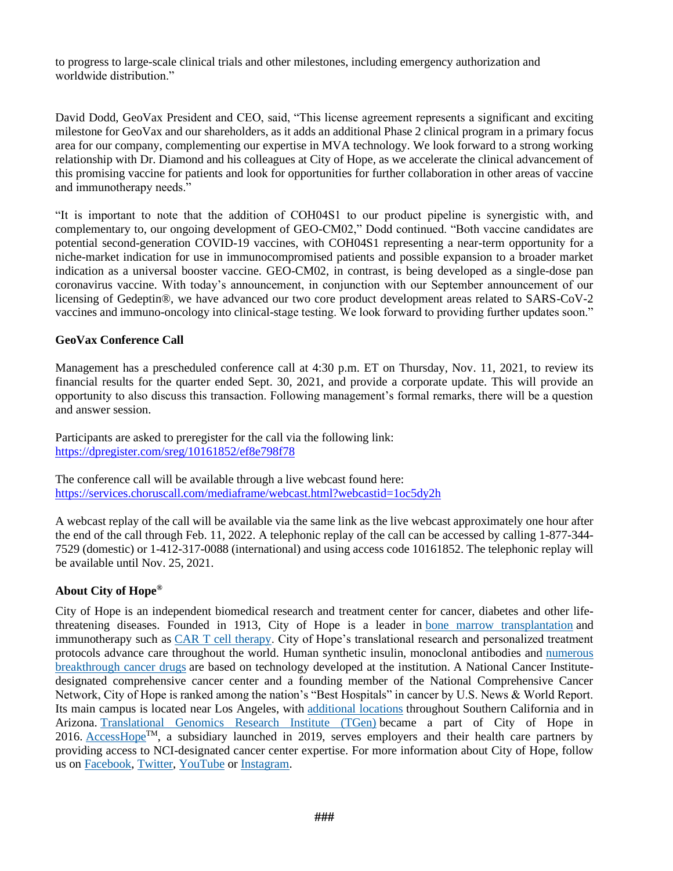to progress to large-scale clinical trials and other milestones, including emergency authorization and worldwide distribution."

David Dodd, GeoVax President and CEO, said, "This license agreement represents a significant and exciting milestone for GeoVax and our shareholders, as it adds an additional Phase 2 clinical program in a primary focus area for our company, complementing our expertise in MVA technology. We look forward to a strong working relationship with Dr. Diamond and his colleagues at City of Hope, as we accelerate the clinical advancement of this promising vaccine for patients and look for opportunities for further collaboration in other areas of vaccine and immunotherapy needs."

"It is important to note that the addition of COH04S1 to our product pipeline is synergistic with, and complementary to, our ongoing development of GEO-CM02," Dodd continued. "Both vaccine candidates are potential second-generation COVID-19 vaccines, with COH04S1 representing a near-term opportunity for a niche-market indication for use in immunocompromised patients and possible expansion to a broader market indication as a universal booster vaccine. GEO-CM02, in contrast, is being developed as a single-dose pan coronavirus vaccine. With today's announcement, in conjunction with our September announcement of our licensing of Gedeptin®, we have advanced our two core product development areas related to SARS-CoV-2 vaccines and immuno-oncology into clinical-stage testing. We look forward to providing further updates soon."

#### **GeoVax Conference Call**

Management has a prescheduled conference call at 4:30 p.m. ET on Thursday, Nov. 11, 2021, to review its financial results for the quarter ended Sept. 30, 2021, and provide a corporate update. This will provide an opportunity to also discuss this transaction. Following management's formal remarks, there will be a question and answer session.

Participants are asked to preregister for the call via the following link: <https://dpregister.com/sreg/10161852/ef8e798f78>

The conference call will be available through a live webcast found here: <https://services.choruscall.com/mediaframe/webcast.html?webcastid=1oc5dy2h>

A webcast replay of the call will be available via the same link as the live webcast approximately one hour after the end of the call through Feb. 11, 2022. A telephonic replay of the call can be accessed by calling 1-877-344- 7529 (domestic) or 1-412-317-0088 (international) and using access code 10161852. The telephonic replay will be available until Nov. 25, 2021.

#### **About City of Hope®**

City of Hope is an independent biomedical research and treatment center for cancer, diabetes and other lifethreatening diseases. Founded in 1913, City of Hope is a leader in [bone marrow transplantation](https://urldefense.com/v3/__https:/nam10.safelinks.protection.outlook.com/?url=https*3A*2F*2Fwww.cityofhope.org*2Ftests-and-treatments*2Fbone-marrow-and-blood-stem-cell-transplants&data=04*7C01*7Calexis.ravey*40myaccesshope.org*7C31c9f10880fd4f0b6f8b08d956bd491b*7C95896466ea114befbc202eb5637e7561*7C0*7C0*7C637636193284313262*7CUnknown*7CTWFpbGZsb3d8eyJWIjoiMC4wLjAwMDAiLCJQIjoiV2luMzIiLCJBTiI6Ik1haWwiLCJXVCI6Mn0*3D*7C1000&sdata=cJA9qMbBIZah6*2BdS5hFlWwncvlXw6mHaQRPq5TYJdRA*3D&reserved=0__;JSUlJSUlJSUlJSUlJSUlJSUlJQ!!Fou38LsQmgU!5wenqScG5pcut6Nt2WXm618wkcIz5F-5uZrBUCohBikMiCmQ6HydfRy80RBE5g$) and immunotherapy such as [CAR T cell therapy.](https://urldefense.com/v3/__https:/nam10.safelinks.protection.outlook.com/?url=https*3A*2F*2Fwww.cityofhope.org*2Fresearch*2Fcar-t-cell-therapy&data=04*7C01*7Calexis.ravey*40myaccesshope.org*7C31c9f10880fd4f0b6f8b08d956bd491b*7C95896466ea114befbc202eb5637e7561*7C0*7C0*7C637636193284313262*7CUnknown*7CTWFpbGZsb3d8eyJWIjoiMC4wLjAwMDAiLCJQIjoiV2luMzIiLCJBTiI6Ik1haWwiLCJXVCI6Mn0*3D*7C1000&sdata=2AkJQeIX5ii*2FA72aKDwJYVctPGNiCfsQpH0hWCU4Who*3D&reserved=0__;JSUlJSUlJSUlJSUlJSUlJSUlJQ!!Fou38LsQmgU!5wenqScG5pcut6Nt2WXm618wkcIz5F-5uZrBUCohBikMiCmQ6HydfRz7EfMTJg$) City of Hope's translational research and personalized treatment protocols advance care throughout the world. Human synthetic insulin, monoclonal antibodies and [numerous](https://urldefense.com/v3/__https:/nam10.safelinks.protection.outlook.com/?url=http*3A*2F*2Fwww.cityofhope.org*2Fresearch*2Fbeckman-research-institute*2Fabout-beckman-research-institute*2Fbeckman-research-institute-milestones&data=04*7C01*7Calexis.ravey*40myaccesshope.org*7C31c9f10880fd4f0b6f8b08d956bd491b*7C95896466ea114befbc202eb5637e7561*7C0*7C0*7C637636193284323218*7CUnknown*7CTWFpbGZsb3d8eyJWIjoiMC4wLjAwMDAiLCJQIjoiV2luMzIiLCJBTiI6Ik1haWwiLCJXVCI6Mn0*3D*7C1000&sdata=h40ekNiPDteegR4ojNhESj4FTNUJu4gYS*2Fu1TWRY*2FU8*3D&reserved=0__;JSUlJSUlJSUlJSUlJSUlJSUlJSUlJQ!!Fou38LsQmgU!5wenqScG5pcut6Nt2WXm618wkcIz5F-5uZrBUCohBikMiCmQ6HydfRyN3LLEfA$)  [breakthrough cancer drugs](https://urldefense.com/v3/__https:/nam10.safelinks.protection.outlook.com/?url=http*3A*2F*2Fwww.cityofhope.org*2Fresearch*2Fbeckman-research-institute*2Fabout-beckman-research-institute*2Fbeckman-research-institute-milestones&data=04*7C01*7Calexis.ravey*40myaccesshope.org*7C31c9f10880fd4f0b6f8b08d956bd491b*7C95896466ea114befbc202eb5637e7561*7C0*7C0*7C637636193284323218*7CUnknown*7CTWFpbGZsb3d8eyJWIjoiMC4wLjAwMDAiLCJQIjoiV2luMzIiLCJBTiI6Ik1haWwiLCJXVCI6Mn0*3D*7C1000&sdata=h40ekNiPDteegR4ojNhESj4FTNUJu4gYS*2Fu1TWRY*2FU8*3D&reserved=0__;JSUlJSUlJSUlJSUlJSUlJSUlJSUlJQ!!Fou38LsQmgU!5wenqScG5pcut6Nt2WXm618wkcIz5F-5uZrBUCohBikMiCmQ6HydfRyN3LLEfA$) are based on technology developed at the institution. A National Cancer Institutedesignated comprehensive cancer center and a founding member of the National Comprehensive Cancer Network, City of Hope is ranked among the nation's "Best Hospitals" in cancer by U.S. News & World Report. Its main campus is located near Los Angeles, with [additional locations](https://urldefense.com/v3/__https:/nam10.safelinks.protection.outlook.com/?url=https*3A*2F*2Fwww.cityofhope.org*2Fabout-city-of-hope*2Flocations&data=04*7C01*7Calexis.ravey*40myaccesshope.org*7C31c9f10880fd4f0b6f8b08d956bd491b*7C95896466ea114befbc202eb5637e7561*7C0*7C0*7C637636193284333175*7CUnknown*7CTWFpbGZsb3d8eyJWIjoiMC4wLjAwMDAiLCJQIjoiV2luMzIiLCJBTiI6Ik1haWwiLCJXVCI6Mn0*3D*7C1000&sdata=YrkiaYAS7Xc65MFvhPr42pzz5FoAFhcyQ8b1VX6m0fI*3D&reserved=0__;JSUlJSUlJSUlJSUlJSUlJSUl!!Fou38LsQmgU!5wenqScG5pcut6Nt2WXm618wkcIz5F-5uZrBUCohBikMiCmQ6HydfRyw4KlGQw$) throughout Southern California and in Arizona. [Translational Genomics Research Institute \(TGen\)](https://urldefense.com/v3/__https:/nam10.safelinks.protection.outlook.com/?url=https*3A*2F*2Fwww.tgen.org*2F&data=04*7C01*7Calexis.ravey*40myaccesshope.org*7C31c9f10880fd4f0b6f8b08d956bd491b*7C95896466ea114befbc202eb5637e7561*7C0*7C0*7C637636193284333175*7CUnknown*7CTWFpbGZsb3d8eyJWIjoiMC4wLjAwMDAiLCJQIjoiV2luMzIiLCJBTiI6Ik1haWwiLCJXVCI6Mn0*3D*7C1000&sdata=Ew3ocmIH3oDQHBzMPAb5VSEkNuO5W0cs9fS7d*2Bl8HaE*3D&reserved=0__;JSUlJSUlJSUlJSUlJSUlJSUl!!Fou38LsQmgU!5wenqScG5pcut6Nt2WXm618wkcIz5F-5uZrBUCohBikMiCmQ6HydfRz1tBLg9w$) became a part of City of Hope in 2016. [AccessHope](https://urldefense.com/v3/__https:/www.myaccesshope.org/?utm_source=PR&utm_medium=pressrelease&utm_campaign=launch__;!!Fou38LsQmgU!5wenqScG5pcut6Nt2WXm618wkcIz5F-5uZrBUCohBikMiCmQ6HydfRz-rjto9Q$)<sup>TM</sup>, a subsidiary launched in 2019, serves employers and their health care partners by providing access to NCI-designated cancer center expertise. For more information about City of Hope, follow us on [Facebook,](https://urldefense.com/v3/__https:/nam10.safelinks.protection.outlook.com/?url=https*3A*2F*2Fwww.facebook.com*2Fcityofhope*2F&data=04*7C01*7Calexis.ravey*40myaccesshope.org*7C31c9f10880fd4f0b6f8b08d956bd491b*7C95896466ea114befbc202eb5637e7561*7C0*7C0*7C637636193284343127*7CUnknown*7CTWFpbGZsb3d8eyJWIjoiMC4wLjAwMDAiLCJQIjoiV2luMzIiLCJBTiI6Ik1haWwiLCJXVCI6Mn0*3D*7C1000&sdata=REORYLVA3ynNvOjyNPZ7CQIm4Vb5wlshHfqVqtSo5q4*3D&reserved=0__;JSUlJSUlJSUlJSUlJSUlJSUl!!Fou38LsQmgU!5wenqScG5pcut6Nt2WXm618wkcIz5F-5uZrBUCohBikMiCmQ6HydfRxsAOEDBw$) [Twitter,](https://urldefense.com/v3/__https:/nam10.safelinks.protection.outlook.com/?url=https*3A*2F*2Ftwitter.com*2Fcityofhope&data=04*7C01*7Calexis.ravey*40myaccesshope.org*7C31c9f10880fd4f0b6f8b08d956bd491b*7C95896466ea114befbc202eb5637e7561*7C0*7C0*7C637636193284343127*7CUnknown*7CTWFpbGZsb3d8eyJWIjoiMC4wLjAwMDAiLCJQIjoiV2luMzIiLCJBTiI6Ik1haWwiLCJXVCI6Mn0*3D*7C1000&sdata=wOqQP5r82eXX*2BtHrwZGY*2BN8XhskKfVEo2cxVuUKLL8A*3D&reserved=0__;JSUlJSUlJSUlJSUlJSUlJSUlJQ!!Fou38LsQmgU!5wenqScG5pcut6Nt2WXm618wkcIz5F-5uZrBUCohBikMiCmQ6HydfRz56RnqCA$) [YouTube](https://urldefense.com/v3/__https:/nam10.safelinks.protection.outlook.com/?url=https*3A*2F*2Fwww.youtube.com*2Fuser*2Fcityofhopeonline&data=04*7C01*7Calexis.ravey*40myaccesshope.org*7C31c9f10880fd4f0b6f8b08d956bd491b*7C95896466ea114befbc202eb5637e7561*7C0*7C0*7C637636193284353089*7CUnknown*7CTWFpbGZsb3d8eyJWIjoiMC4wLjAwMDAiLCJQIjoiV2luMzIiLCJBTiI6Ik1haWwiLCJXVCI6Mn0*3D*7C1000&sdata=MJtXAid*2BBfBUEkCVJcFtibgQCs8qy0NdnTUgs0GM5dM*3D&reserved=0__;JSUlJSUlJSUlJSUlJSUlJSUlJQ!!Fou38LsQmgU!5wenqScG5pcut6Nt2WXm618wkcIz5F-5uZrBUCohBikMiCmQ6HydfRwGGZpZig$) or [Instagram.](https://urldefense.com/v3/__https:/nam10.safelinks.protection.outlook.com/?url=https*3A*2F*2Fwww.instagram.com*2Fcityofhope*2F&data=04*7C01*7Calexis.ravey*40myaccesshope.org*7C31c9f10880fd4f0b6f8b08d956bd491b*7C95896466ea114befbc202eb5637e7561*7C0*7C0*7C637636193284353089*7CUnknown*7CTWFpbGZsb3d8eyJWIjoiMC4wLjAwMDAiLCJQIjoiV2luMzIiLCJBTiI6Ik1haWwiLCJXVCI6Mn0*3D*7C1000&sdata=hLXuE1If8Jvn71zcFn3B4SVRjitn2NcStCUTE1qLZsw*3D&reserved=0__;JSUlJSUlJSUlJSUlJSUlJSUl!!Fou38LsQmgU!5wenqScG5pcut6Nt2WXm618wkcIz5F-5uZrBUCohBikMiCmQ6HydfRwk6KNVTw$)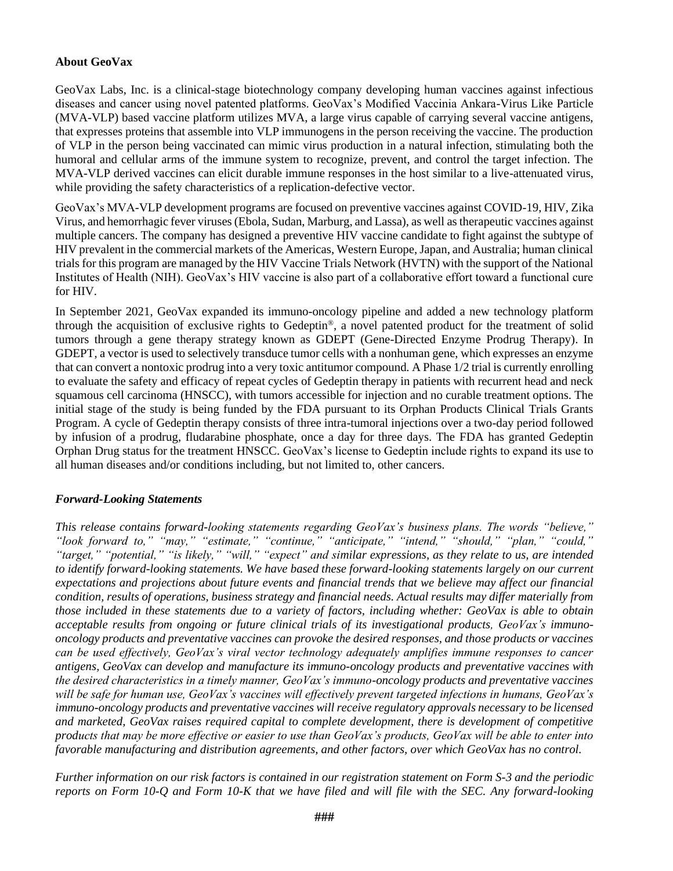#### **About GeoVax**

GeoVax Labs, Inc. is a clinical-stage biotechnology company developing human vaccines against infectious diseases and cancer using novel patented platforms. GeoVax's Modified Vaccinia Ankara-Virus Like Particle (MVA-VLP) based vaccine platform utilizes MVA, a large virus capable of carrying several vaccine antigens, that expresses proteins that assemble into VLP immunogens in the person receiving the vaccine. The production of VLP in the person being vaccinated can mimic virus production in a natural infection, stimulating both the humoral and cellular arms of the immune system to recognize, prevent, and control the target infection. The MVA-VLP derived vaccines can elicit durable immune responses in the host similar to a live-attenuated virus, while providing the safety characteristics of a replication-defective vector.

GeoVax's MVA-VLP development programs are focused on preventive vaccines against COVID-19, HIV, Zika Virus, and hemorrhagic fever viruses (Ebola, Sudan, Marburg, and Lassa), as well as therapeutic vaccines against multiple cancers. The company has designed a preventive HIV vaccine candidate to fight against the subtype of HIV prevalent in the commercial markets of the Americas, Western Europe, Japan, and Australia; human clinical trials for this program are managed by the HIV Vaccine Trials Network (HVTN) with the support of the National Institutes of Health (NIH). GeoVax's HIV vaccine is also part of a collaborative effort toward a functional cure for HIV.

In September 2021, GeoVax expanded its immuno-oncology pipeline and added a new technology platform through the acquisition of exclusive rights to Gedeptin®, a novel patented product for the treatment of solid tumors through a gene therapy strategy known as GDEPT (Gene-Directed Enzyme Prodrug Therapy). In GDEPT, a vector is used to selectively transduce tumor cells with a nonhuman gene, which expresses an enzyme that can convert a nontoxic prodrug into a very toxic antitumor compound. A Phase 1/2 trial is currently enrolling to evaluate the safety and efficacy of repeat cycles of Gedeptin therapy in patients with recurrent head and neck squamous cell carcinoma (HNSCC), with tumors accessible for injection and no curable treatment options. The initial stage of the study is being funded by the FDA pursuant to its Orphan Products Clinical Trials Grants Program. A cycle of Gedeptin therapy consists of three intra-tumoral injections over a two-day period followed by infusion of a prodrug, fludarabine phosphate, once a day for three days. The FDA has granted Gedeptin Orphan Drug status for the treatment HNSCC. GeoVax's license to Gedeptin include rights to expand its use to all human diseases and/or conditions including, but not limited to, other cancers.

#### *Forward-Looking Statements*

*This release contains forward-looking statements regarding GeoVax's business plans. The words "believe," "look forward to," "may," "estimate," "continue," "anticipate," "intend," "should," "plan," "could," "target," "potential," "is likely," "will," "expect" and similar expressions, as they relate to us, are intended to identify forward-looking statements. We have based these forward-looking statements largely on our current expectations and projections about future events and financial trends that we believe may affect our financial condition, results of operations, business strategy and financial needs. Actual results may differ materially from those included in these statements due to a variety of factors, including whether: GeoVax is able to obtain acceptable results from ongoing or future clinical trials of its investigational products, GeoVax's immunooncology products and preventative vaccines can provoke the desired responses, and those products or vaccines can be used effectively, GeoVax's viral vector technology adequately amplifies immune responses to cancer antigens, GeoVax can develop and manufacture its immuno-oncology products and preventative vaccines with the desired characteristics in a timely manner, GeoVax's immuno-oncology products and preventative vaccines will be safe for human use, GeoVax's vaccines will effectively prevent targeted infections in humans, GeoVax's immuno-oncology products and preventative vaccines will receive regulatory approvals necessary to be licensed and marketed, GeoVax raises required capital to complete development, there is development of competitive products that may be more effective or easier to use than GeoVax's products, GeoVax will be able to enter into favorable manufacturing and distribution agreements, and other factors, over which GeoVax has no control.* 

*Further information on our risk factors is contained in our registration statement on Form S-3 and the periodic reports on Form 10-Q and Form 10-K that we have filed and will file with the SEC. Any forward-looking*